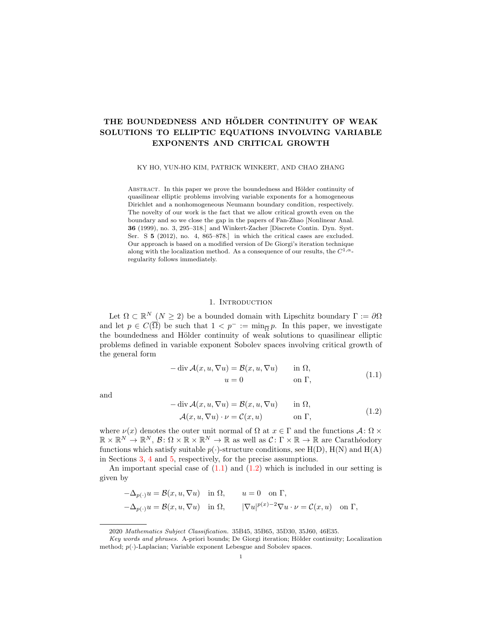# THE BOUNDEDNESS AND HÖLDER CONTINUITY OF WEAK SOLUTIONS TO ELLIPTIC EQUATIONS INVOLVING VARIABLE EXPONENTS AND CRITICAL GROWTH

KY HO, YUN-HO KIM, PATRICK WINKERT, AND CHAO ZHANG

ABSTRACT. In this paper we prove the boundedness and Hölder continuity of quasilinear elliptic problems involving variable exponents for a homogeneous Dirichlet and a nonhomogeneous Neumann boundary condition, respectively. The novelty of our work is the fact that we allow critical growth even on the boundary and so we close the gap in the papers of Fan-Zhao [Nonlinear Anal. 36 (1999), no. 3, 295–318.] and Winkert-Zacher [Discrete Contin. Dyn. Syst. Ser. S 5 (2012), no. 4, 865–878.] in which the critical cases are excluded. Our approach is based on a modified version of De Giorgi's iteration technique along with the localization method. As a consequence of our results, the  $C^{1,\alpha}$ regularity follows immediately.

# 1. INTRODUCTION

Let  $\Omega \subset \mathbb{R}^N$   $(N \geq 2)$  be a bounded domain with Lipschitz boundary  $\Gamma := \partial \Omega$ and let  $p \in C(\overline{\Omega})$  be such that  $1 < p^- := \min_{\overline{\Omega}} p$ . In this paper, we investigate the boundedness and Hölder continuity of weak solutions to quasilinear elliptic problems defined in variable exponent Sobolev spaces involving critical growth of the general form

<span id="page-0-0"></span>
$$
- \operatorname{div} \mathcal{A}(x, u, \nabla u) = \mathcal{B}(x, u, \nabla u) \quad \text{in } \Omega,
$$
  

$$
u = 0 \quad \text{on } \Gamma,
$$
 (1.1)

and

<span id="page-0-1"></span>
$$
- \operatorname{div} \mathcal{A}(x, u, \nabla u) = \mathcal{B}(x, u, \nabla u) \quad \text{in } \Omega,
$$
  

$$
\mathcal{A}(x, u, \nabla u) \cdot \nu = \mathcal{C}(x, u) \quad \text{on } \Gamma,
$$
 (1.2)

where  $\nu(x)$  denotes the outer unit normal of  $\Omega$  at  $x \in \Gamma$  and the functions  $\mathcal{A}: \Omega \times$  $\mathbb{R} \times \mathbb{R}^N \to \mathbb{R}^N$ ,  $\mathcal{B}: \Omega \times \mathbb{R} \times \mathbb{R}^N \to \mathbb{R}$  as well as  $\mathcal{C}: \Gamma \times \mathbb{R} \to \mathbb{R}$  are Carathéodory functions which satisfy suitable  $p(\cdot)$ -structure conditions, see H(D), H(N) and H(A) in Sections [3,](#page-6-0) [4](#page-11-0) and [5,](#page-16-0) respectively, for the precise assumptions.

An important special case of  $(1.1)$  and  $(1.2)$  which is included in our setting is given by

$$
\begin{aligned}\n-\Delta_{p(\cdot)}u &= \mathcal{B}(x, u, \nabla u) \quad \text{in } \Omega, \qquad u = 0 \quad \text{on } \Gamma, \\
-\Delta_{p(\cdot)}u &= \mathcal{B}(x, u, \nabla u) \quad \text{in } \Omega, \qquad |\nabla u|^{p(x)-2} \nabla u \cdot \nu = \mathcal{C}(x, u) \quad \text{on } \Gamma,\n\end{aligned}
$$

<sup>2020</sup> Mathematics Subject Classification. 35B45, 35B65, 35D30, 35J60, 46E35.

Key words and phrases. A-priori bounds; De Giorgi iteration; Hölder continuity; Localization method;  $p(\cdot)$ -Laplacian; Variable exponent Lebesgue and Sobolev spaces.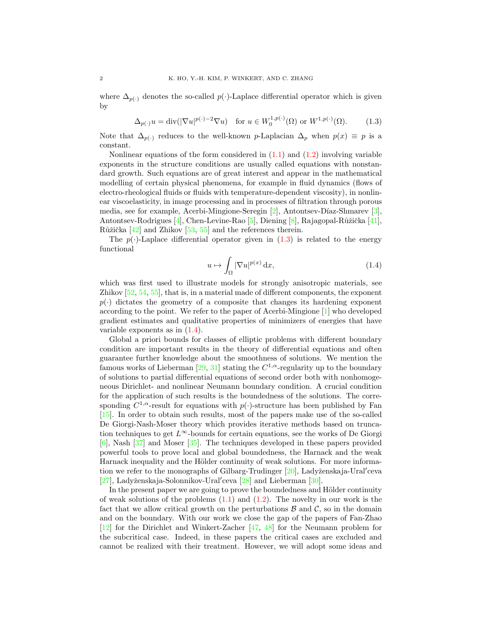where  $\Delta_{p(\cdot)}$  denotes the so-called  $p(\cdot)$ -Laplace differential operator which is given by

$$
\Delta_{p(\cdot)} u = \operatorname{div}(|\nabla u|^{p(\cdot)-2} \nabla u) \quad \text{for } u \in W_0^{1,p(\cdot)}(\Omega) \text{ or } W^{1,p(\cdot)}(\Omega). \tag{1.3}
$$

Note that  $\Delta_{p(\cdot)}$  reduces to the well-known p-Laplacian  $\Delta_p$  when  $p(x) \equiv p$  is a constant.

Nonlinear equations of the form considered in  $(1.1)$  and  $(1.2)$  involving variable exponents in the structure conditions are usually called equations with nonstandard growth. Such equations are of great interest and appear in the mathematical modelling of certain physical phenomena, for example in fluid dynamics (flows of electro-rheological fluids or fluids with temperature-dependent viscosity), in nonlinear viscoelasticity, in image processing and in processes of filtration through porous media, see for example, Acerbi-Mingione-Seregin [\[2\]](#page-21-0), Antontsev-Díaz-Shmarev [\[3\]](#page-21-1), Antontsev-Rodrigues [\[4\]](#page-21-2), Chen-Levine-Rao [\[5\]](#page-22-0), Diening [\[8\]](#page-22-1), Rajagopal-Růžička [\[41\]](#page-23-0), Růžička  $[42]$  and Zhikov  $[53, 55]$  $[53, 55]$  and the references therein.

The  $p(\cdot)$ -Laplace differential operator given in [\(1.3\)](#page-1-0) is related to the energy functional

<span id="page-1-1"></span><span id="page-1-0"></span>
$$
u \mapsto \int_{\Omega} |\nabla u|^{p(x)} \, \mathrm{d}x,\tag{1.4}
$$

which was first used to illustrate models for strongly anisotropic materials, see Zhikov [\[52,](#page-23-4) [54,](#page-23-5) [55\]](#page-23-3), that is, in a material made of different components, the exponent  $p(\cdot)$  dictates the geometry of a composite that changes its hardening exponent according to the point. We refer to the paper of Acerbi-Mingione [\[1\]](#page-21-3) who developed gradient estimates and qualitative properties of minimizers of energies that have variable exponents as in  $(1.4)$ .

Global a priori bounds for classes of elliptic problems with different boundary condition are important results in the theory of differential equations and often guarantee further knowledge about the smoothness of solutions. We mention the famous works of Lieberman [\[29,](#page-22-2) [31\]](#page-22-3) stating the  $C^{1,\alpha}$ -regularity up to the boundary of solutions to partial differential equations of second order both with nonhomogeneous Dirichlet- and nonlinear Neumann boundary condition. A crucial condition for the application of such results is the boundedness of the solutions. The corresponding  $C^{1,\alpha}$ -result for equations with  $p(\cdot)$ -structure has been published by Fan [\[15\]](#page-22-4). In order to obtain such results, most of the papers make use of the so-called De Giorgi-Nash-Moser theory which provides iterative methods based on truncation techniques to get  $L^{\infty}$ -bounds for certain equations, see the works of De Giorgi [\[6\]](#page-22-5), Nash [\[37\]](#page-23-6) and Moser [\[35\]](#page-23-7). The techniques developed in these papers provided powerful tools to prove local and global boundedness, the Harnack and the weak Harnack inequality and the Hölder continuity of weak solutions. For more informa-tion we refer to the monographs of Gilbarg-Trudinger [\[20\]](#page-22-6), Ladyženskaja-Ural'ceva [\[27\]](#page-22-7), Ladyženskaja-Solonnikov-Ural'ceva [\[28\]](#page-22-8) and Lieberman [\[30\]](#page-22-9).

In the present paper we are going to prove the boundedness and Hölder continuity of weak solutions of the problems  $(1.1)$  and  $(1.2)$ . The novelty in our work is the fact that we allow critical growth on the perturbations  $\mathcal B$  and  $\mathcal C$ , so in the domain and on the boundary. With our work we close the gap of the papers of Fan-Zhao [\[12\]](#page-22-10) for the Dirichlet and Winkert-Zacher [\[47,](#page-23-8) [48\]](#page-23-9) for the Neumann problem for the subcritical case. Indeed, in these papers the critical cases are excluded and cannot be realized with their treatment. However, we will adopt some ideas and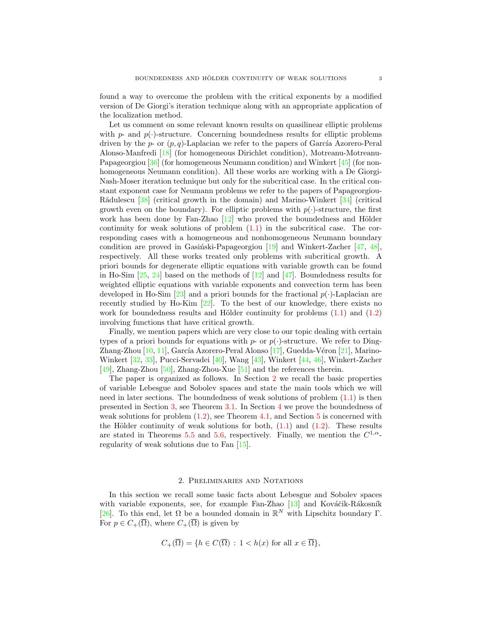found a way to overcome the problem with the critical exponents by a modified version of De Giorgi's iteration technique along with an appropriate application of the localization method.

Let us comment on some relevant known results on quasilinear elliptic problems with  $p$ - and  $p(\cdot)$ -structure. Concerning boundedness results for elliptic problems driven by the  $p$ - or  $(p, q)$ -Laplacian we refer to the papers of García Azorero-Peral Alonso-Manfredi [\[18\]](#page-22-11) (for homogeneous Dirichlet condition), Motreanu-Motreanu-Papageorgiou [\[36\]](#page-23-10) (for homogeneous Neumann condition) and Winkert [\[45\]](#page-23-11) (for nonhomogeneous Neumann condition). All these works are working with a De Giorgi-Nash-Moser iteration technique but only for the subcritical case. In the critical constant exponent case for Neumann problems we refer to the papers of Papageorgiou-Rădulescu  $\left[38\right]$  (critical growth in the domain) and Marino-Winkert  $\left[34\right]$  (critical growth even on the boundary). For elliptic problems with  $p(\cdot)$ -structure, the first work has been done by Fan-Zhao  $[12]$  who proved the boundedness and Hölder continuity for weak solutions of problem  $(1.1)$  in the subcritical case. The corresponding cases with a homogeneous and nonhomogeneous Neumann boundary condition are proved in Gasiński-Papageorgiou  $[19]$  and Winkert-Zacher  $[47, 48]$  $[47, 48]$ , respectively. All these works treated only problems with subcritical growth. A priori bounds for degenerate elliptic equations with variable growth can be found in Ho-Sim  $[25, 24]$  $[25, 24]$  based on the methods of  $[12]$  and  $[47]$ . Boundedness results for weighted elliptic equations with variable exponents and convection term has been developed in Ho-Sim [\[23\]](#page-22-15) and a priori bounds for the fractional  $p(\cdot)$ -Laplacian are recently studied by Ho-Kim [\[22\]](#page-22-16). To the best of our knowledge, there exists no work for boundedness results and Hölder continuity for problems  $(1.1)$  and  $(1.2)$ involving functions that have critical growth.

Finally, we mention papers which are very close to our topic dealing with certain types of a priori bounds for equations with p- or  $p(\cdot)$ -structure. We refer to Ding-Zhang-Zhou  $[10, 11]$  $[10, 11]$ , García Azorero-Peral Alonso  $[17]$ , Guedda-Véron  $[21]$ , Marino-Winkert [\[32,](#page-23-14) [33\]](#page-23-15), Pucci-Servadei [\[40\]](#page-23-16), Wang [\[43\]](#page-23-17), Winkert [\[44,](#page-23-18) [46\]](#page-23-19), Winkert-Zacher [\[49\]](#page-23-20), Zhang-Zhou [\[50\]](#page-23-21), Zhang-Zhou-Xue [\[51\]](#page-23-22) and the references therein.

The paper is organized as follows. In Section [2](#page-2-0) we recall the basic properties of variable Lebesgue and Sobolev spaces and state the main tools which we will need in later sections. The boundedness of weak solutions of problem  $(1.1)$  is then presented in Section [3,](#page-6-0) see Theorem [3.1.](#page-7-0) In Section [4](#page-11-0) we prove the boundedness of weak solutions for problem  $(1.2)$ , see Theorem [4.1,](#page-12-0) and Section [5](#page-16-0) is concerned with the Hölder continuity of weak solutions for both,  $(1.1)$  and  $(1.2)$ . These results are stated in Theorems [5.5](#page-21-4) and [5.6,](#page-21-5) respectively. Finally, we mention the  $C^{1,\alpha}$ regularity of weak solutions due to Fan [\[15\]](#page-22-4).

## 2. Preliminaries and Notations

<span id="page-2-0"></span>In this section we recall some basic facts about Lebesgue and Sobolev spaces with variable exponents, see, for example Fan-Zhao  $[13]$  and Kováčik-Rákosník [\[26\]](#page-22-22). To this end, let  $\Omega$  be a bounded domain in  $\mathbb{R}^N$  with Lipschitz boundary  $\Gamma$ . For  $p \in C_+(\overline{\Omega})$ , where  $C_+(\overline{\Omega})$  is given by

$$
C_{+}(\overline{\Omega}) = \{ h \in C(\overline{\Omega}) : 1 < h(x) \text{ for all } x \in \overline{\Omega} \},
$$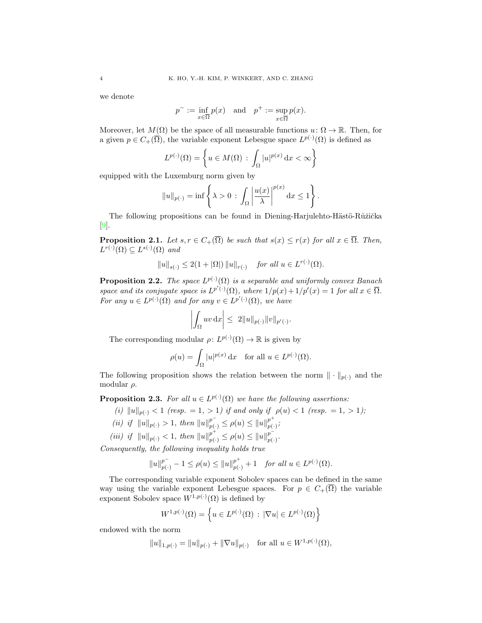we denote

$$
p^- := \inf_{x \in \overline{\Omega}} p(x)
$$
 and  $p^+ := \sup_{x \in \overline{\Omega}} p(x)$ .

Moreover, let  $M(\Omega)$  be the space of all measurable functions  $u: \Omega \to \mathbb{R}$ . Then, for a given  $p \in C_+(\overline{\Omega})$ , the variable exponent Lebesgue space  $L^{p(\cdot)}(\Omega)$  is defined as

$$
L^{p(\cdot)}(\Omega) = \left\{ u \in M(\Omega) \, : \, \int_{\Omega} |u|^{p(x)} \, \mathrm{d}x < \infty \right\}
$$

equipped with the Luxemburg norm given by

$$
||u||_{p(\cdot)} = \inf \left\{ \lambda > 0 \, : \, \int_{\Omega} \left| \frac{u(x)}{\lambda} \right|^{p(x)} dx \le 1 \right\}.
$$

The following propositions can be found in Diening-Harjulehto-Hästö-Růžička [\[9\]](#page-22-23).

**Proposition 2.1.** Let  $s, r \in C_+(\overline{\Omega})$  be such that  $s(x) \leq r(x)$  for all  $x \in \overline{\Omega}$ . Then,  $L^{r(\cdot)}(\Omega) \subseteq L^{s(\cdot)}(\Omega)$  and

$$
||u||_{s(\cdot)} \leq 2(1+|\Omega|) ||u||_{r(\cdot)}
$$
 for all  $u \in L^{r(\cdot)}(\Omega)$ .

**Proposition 2.2.** The space  $L^{p(\cdot)}(\Omega)$  is a separable and uniformly convex Banach space and its conjugate space is  $L^{p'(\cdot)}(\Omega)$ , where  $1/p(x) + 1/p'(x) = 1$  for all  $x \in \overline{\Omega}$ . For any  $u \in L^{p(\cdot)}(\Omega)$  and for any  $v \in L^{p'(\cdot)}(\Omega)$ , we have

$$
\left| \int_{\Omega} uv \, \mathrm{d}x \right| \leq \ 2 \|u\|_{p(\cdot)} \|v\|_{p'(\cdot)}
$$

.

The corresponding modular  $\rho: L^{p(\cdot)}(\Omega) \to \mathbb{R}$  is given by

$$
\rho(u) = \int_{\Omega} |u|^{p(x)} dx \quad \text{for all } u \in L^{p(\cdot)}(\Omega).
$$

The following proposition shows the relation between the norm  $\|\cdot\|_{p(\cdot)}$  and the modular  $\rho$ .

<span id="page-3-0"></span>**Proposition 2.3.** For all  $u \in L^{p(\cdot)}(\Omega)$  we have the following assertions:

(i)  $||u||_{p(.)} < 1$  (resp. = 1, > 1) if and only if  $\rho(u) < 1$  (resp. = 1, > 1);

- (ii) if  $||u||_{p(\cdot)} > 1$ , then  $||u||_{p(\cdot)}^{p^{-}} \leq \rho(u) \leq ||u||_{p(\cdot)}^{p^{+}}$  $_{p(\cdot)}^{p},$
- (iii) if  $||u||_{p(\cdot)} < 1$ , then  $||u||_{p(\cdot)}^{p^+} \leq \rho(u) \leq ||u||_{p(\cdot)}^{p^-}$  $_{p(\cdot )}^{p}\cdot$

Consequently, the following inequality holds true

$$
||u||_{p(\cdot)}^{p^{-}} - 1 \le \rho(u) \le ||u||_{p(\cdot)}^{p^{+}} + 1 \quad \text{for all } u \in L^{p(\cdot)}(\Omega).
$$

The corresponding variable exponent Sobolev spaces can be defined in the same way using the variable exponent Lebesgue spaces. For  $p \in C_+(\overline{\Omega})$  the variable exponent Sobolev space  $W^{1,p(\cdot)}(\Omega)$  is defined by

$$
W^{1,p(\cdot)}(\Omega) = \left\{ u \in L^{p(\cdot)}(\Omega) \, : \, |\nabla u| \in L^{p(\cdot)}(\Omega) \right\}
$$

endowed with the norm

$$
||u||_{1,p(\cdot)} = ||u||_{p(\cdot)} + ||\nabla u||_{p(\cdot)} \text{ for all } u \in W^{1,p(\cdot)}(\Omega),
$$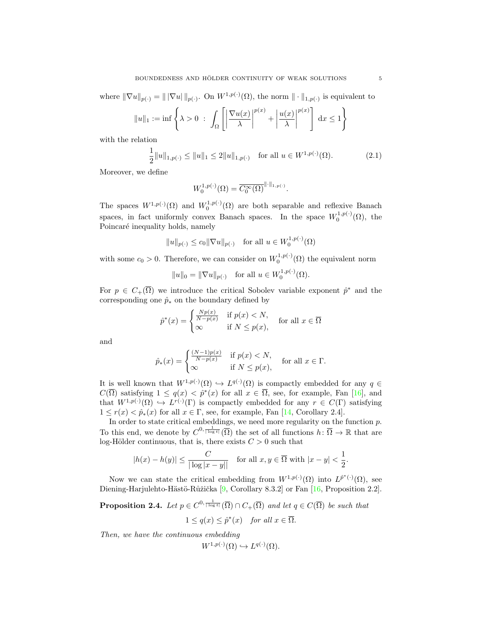where  $\|\nabla u\|_{p(\cdot)} = \|\nabla u\|_{p(\cdot)}$ . On  $W^{1,p(\cdot)}(\Omega)$ , the norm  $\|\cdot\|_{1,p(\cdot)}$  is equivalent to

$$
||u||_1 := \inf \left\{ \lambda > 0 \; : \; \int_{\Omega} \left[ \left| \frac{\nabla u(x)}{\lambda} \right|^{p(x)} + \left| \frac{u(x)}{\lambda} \right|^{p(x)} \right] \, dx \le 1 \right\}
$$

with the relation

$$
\frac{1}{2}||u||_{1,p(\cdot)} \le ||u||_1 \le 2||u||_{1,p(\cdot)} \quad \text{for all } u \in W^{1,p(\cdot)}(\Omega). \tag{2.1}
$$

Moreover, we define

<span id="page-4-1"></span>
$$
W_0^{1,p(\cdot)}(\Omega) = \overline{C_0^{\infty}(\Omega)}^{\|\cdot\|_{1,p(\cdot)}}.
$$

The spaces  $W^{1,p(\cdot)}(\Omega)$  and  $W_0^{1,p(\cdot)}(\Omega)$  are both separable and reflexive Banach spaces, in fact uniformly convex Banach spaces. In the space  $W_0^{1,p(\cdot)}(\Omega)$ , the Poincaré inequality holds, namely

$$
||u||_{p(\cdot)} \leq c_0 ||\nabla u||_{p(\cdot)} \quad \text{for all } u \in W_0^{1,p(\cdot)}(\Omega)
$$

with some  $c_0 > 0$ . Therefore, we can consider on  $W_0^{1,p(\cdot)}(\Omega)$  the equivalent norm

$$
||u||_0 = ||\nabla u||_{p(\cdot)}
$$
 for all  $u \in W_0^{1,p(\cdot)}(\Omega)$ .

For  $p \in C_+(\overline{\Omega})$  we introduce the critical Sobolev variable exponent  $\hat{p}^*$  and the corresponding one  $\hat{p}_*$  on the boundary defined by

$$
\hat{p}^*(x) = \begin{cases} \frac{Np(x)}{N-p(x)} & \text{if } p(x) < N, \\ \infty & \text{if } N \le p(x), \end{cases} \text{ for all } x \in \overline{\Omega}
$$

and

$$
\hat{p}_*(x) = \begin{cases}\n\frac{(N-1)p(x)}{N-p(x)} & \text{if } p(x) < N, \\
\infty & \text{if } N \le p(x),\n\end{cases}
$$
 for all  $x \in \Gamma$ .

It is well known that  $W^{1,p(\cdot)}(\Omega) \hookrightarrow L^{q(\cdot)}(\Omega)$  is compactly embedded for any  $q \in$  $C(\overline{\Omega})$  satisfying  $1 \leq q(x) < \hat{p}^*(x)$  for all  $x \in \overline{\Omega}$ , see, for example, Fan [\[16\]](#page-22-24), and that  $W^{1,p(\cdot)}(\Omega) \hookrightarrow L^{r(\cdot)}(\Gamma)$  is compactly embedded for any  $r \in C(\Gamma)$  satisfying  $1 \leq r(x) < \hat{p}_*(x)$  for all  $x \in \Gamma$ , see, for example, Fan [\[14,](#page-22-25) Corollary 2.4].

In order to state critical embeddings, we need more regularity on the function p. To this end, we denote by  $C^{0,\frac{1}{|\log t|}}(\overline{\Omega})$  the set of all functions  $h: \overline{\Omega} \to \mathbb{R}$  that are log-Hölder continuous, that is, there exists  $C > 0$  such that

$$
|h(x) - h(y)| \le \frac{C}{|\log|x - y||} \quad \text{for all } x, y \in \overline{\Omega} \text{ with } |x - y| < \frac{1}{2}.
$$

Now we can state the critical embedding from  $W^{1,p(\cdot)}(\Omega)$  into  $L^{p^*(\cdot)}(\Omega)$ , see Diening-Harjulehto-Hästö-Růžička [\[9,](#page-22-23) Corollary 8.3.2] or Fan [\[16,](#page-22-24) Proposition 2.2].

<span id="page-4-0"></span>**Proposition 2.4.** Let  $p \in C^{0, \frac{1}{|\log t|}}(\overline{\Omega}) \cap C_{+}(\overline{\Omega})$  and let  $q \in C(\overline{\Omega})$  be such that  $1 \leq q(x) \leq \hat{p}^*(x)$  for all  $x \in \overline{\Omega}$ .

Then, we have the continuous embedding

$$
W^{1,p(\cdot)}(\Omega) \hookrightarrow L^{q(\cdot)}(\Omega).
$$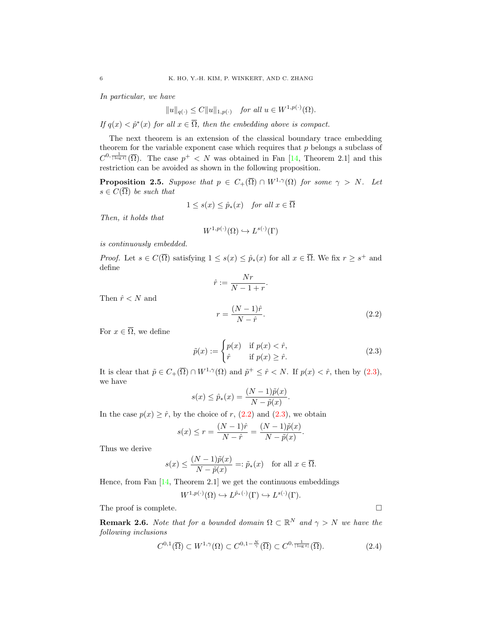In particular, we have

$$
||u||_{q(\cdot)} \le C||u||_{1,p(\cdot)} \quad \text{for all } u \in W^{1,p(\cdot)}(\Omega).
$$

If  $q(x) < \hat{p}^*(x)$  for all  $x \in \overline{\Omega}$ , then the embedding above is compact.

The next theorem is an extension of the classical boundary trace embedding theorem for the variable exponent case which requires that  $p$  belongs a subclass of  $C^{0,\frac{1}{|\log t|}}(\overline{\Omega})$ . The case  $p^+ < N$  was obtained in Fan [\[14,](#page-22-25) Theorem 2.1] and this restriction can be avoided as shown in the following proposition.

<span id="page-5-2"></span>**Proposition 2.5.** Suppose that  $p \in C_+(\overline{\Omega}) \cap W^{1,\gamma}(\Omega)$  for some  $\gamma > N$ . Let  $s \in C(\overline{\Omega})$  be such that

$$
1 \le s(x) \le \hat{p}_*(x) \quad \text{for all } x \in \overline{\Omega}
$$

Then, it holds that

$$
W^{1,p(\cdot)}(\Omega) \hookrightarrow L^{s(\cdot)}(\Gamma)
$$

is continuously embedded.

*Proof.* Let  $s \in C(\overline{\Omega})$  satisfying  $1 \leq s(x) \leq \hat{p}_*(x)$  for all  $x \in \overline{\Omega}$ . We fix  $r \geq s^+$  and define  $\overline{M}_{22}$ 

<span id="page-5-1"></span>
$$
\hat{r} := \frac{N r}{N - 1 + r}.
$$
\n
$$
r = \frac{(N - 1)\hat{r}}{N - \hat{r}}.
$$
\n(2.2)

For  $x \in \overline{\Omega}$ , we define

Then  $\hat{r}$  < N and

$$
\tilde{p}(x) := \begin{cases} p(x) & \text{if } p(x) < \hat{r}, \\ \hat{r} & \text{if } p(x) \ge \hat{r}. \end{cases}
$$
\n(2.3)

It is clear that  $\tilde{p} \in C_{+}(\overline{\Omega}) \cap W^{1,\gamma}(\Omega)$  and  $\tilde{p}^{+} \leq \hat{r} < N$ . If  $p(x) < \hat{r}$ , then by  $(2.3)$ , we have

$$
s(x) \leq \hat{p}_*(x) = \frac{(N-1)\tilde{p}(x)}{N-\tilde{p}(x)}.
$$

In the case  $p(x) \geq \hat{r}$ , by the choice of r, [\(2.2\)](#page-5-1) and [\(2.3\)](#page-5-0), we obtain

$$
s(x) \le r = \frac{(N-1)\hat{r}}{N-\hat{r}} = \frac{(N-1)\tilde{p}(x)}{N-\tilde{p}(x)}.
$$

Thus we derive

$$
s(x) \le \frac{(N-1)\tilde{p}(x)}{N-\tilde{p}(x)} =: \tilde{p}_*(x) \quad \text{for all } x \in \overline{\Omega}.
$$

Hence, from Fan [\[14,](#page-22-25) Theorem 2.1] we get the continuous embeddings

$$
W^{1,p(\cdot)}(\Omega) \hookrightarrow L^{\tilde{p}_*(\cdot)}(\Gamma) \hookrightarrow L^{s(\cdot)}(\Gamma).
$$

The proof is complete.  $\Box$ 

**Remark 2.6.** Note that for a bounded domain  $\Omega \subset \mathbb{R}^N$  and  $\gamma > N$  we have the following inclusions

$$
C^{0,1}(\overline{\Omega}) \subset W^{1,\gamma}(\Omega) \subset C^{0,1-\frac{N}{\gamma}}(\overline{\Omega}) \subset C^{0,\frac{1}{|\log t|}}(\overline{\Omega}).
$$
\n(2.4)

<span id="page-5-3"></span><span id="page-5-0"></span>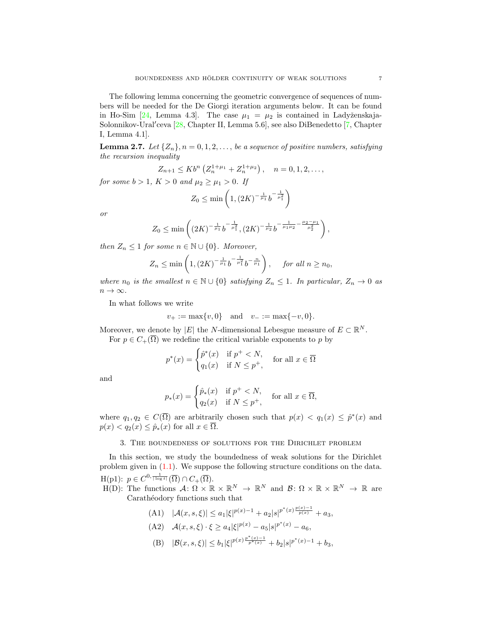The following lemma concerning the geometric convergence of sequences of numbers will be needed for the De Giorgi iteration arguments below. It can be found in Ho-Sim [\[24,](#page-22-14) Lemma 4.3]. The case  $\mu_1 = \mu_2$  is contained in Ladyženskaja-Solonnikov-Ural'ceva [\[28,](#page-22-8) Chapter II, Lemma 5.6], see also DiBenedetto [\[7,](#page-22-26) Chapter I, Lemma 4.1].

<span id="page-6-1"></span>**Lemma 2.7.** Let  $\{Z_n\}, n = 0, 1, 2, \ldots$ , be a sequence of positive numbers, satisfying the recursion inequality

$$
Z_{n+1} \leq K b^{n} \left( Z_{n}^{1+\mu_{1}} + Z_{n}^{1+\mu_{2}} \right), \quad n = 0, 1, 2, \dots,
$$

for some  $b > 1$ ,  $K > 0$  and  $\mu_2 \geq \mu_1 > 0$ . If

$$
Z_0 \le \min\left(1, (2K)^{-\frac{1}{\mu_1}} b^{-\frac{1}{\mu_1^2}}\right)
$$

or

$$
Z_0 \le \min\left( (2K)^{-\frac{1}{\mu_1}} b^{-\frac{1}{\mu_1^2}}, (2K)^{-\frac{1}{\mu_2}} b^{-\frac{1}{\mu_1 \mu_2} - \frac{\mu_2 - \mu_1}{\mu_2^2}} \right),
$$

then  $Z_n \leq 1$  for some  $n \in \mathbb{N} \cup \{0\}$ . Moreover,

$$
Z_n \le \min\left(1, (2K)^{-\frac{1}{\mu_1}} b^{-\frac{1}{\mu_1}} b^{-\frac{n}{\mu_1}}\right), \text{ for all } n \ge n_0,
$$

where  $n_0$  is the smallest  $n \in \mathbb{N} \cup \{0\}$  satisfying  $Z_n \leq 1$ . In particular,  $Z_n \to 0$  as  $n \to \infty$ .

In what follows we write

$$
v_+ := \max\{v, 0\}
$$
 and  $v_- := \max\{-v, 0\}.$ 

Moreover, we denote by |E| the N-dimensional Lebesgue measure of  $E \subset \mathbb{R}^N$ . For  $p \in C_+(\overline{\Omega})$  we redefine the critical variable exponents to p by

$$
p^*(x) = \begin{cases} \hat{p}^*(x) & \text{if } p^+ < N, \\ q_1(x) & \text{if } N \le p^+, \end{cases} \quad \text{for all } x \in \overline{\Omega}
$$

and

$$
p_*(x) = \begin{cases} \hat{p}_*(x) & \text{if } p^+ < N, \\ q_2(x) & \text{if } N \le p^+, \end{cases}
$$
 for all  $x \in \overline{\Omega}$ ,

where  $q_1, q_2 \in C(\overline{\Omega})$  are arbitrarily chosen such that  $p(x) < q_1(x) \leq \hat{p}^*(x)$  and  $p(x) < q_2(x) \leq \hat{p}_*(x)$  for all  $x \in \overline{\Omega}$ .

3. The boundedness of solutions for the Dirichlet problem

<span id="page-6-0"></span>In this section, we study the boundedness of weak solutions for the Dirichlet problem given in [\(1.1\)](#page-0-0). We suppose the following structure conditions on the data.  $\text{H(p1): } p \in C^{0, \frac{1}{|\log t|}}(\overline{\Omega}) \cap C_{+}(\overline{\Omega}).$ 

 $H(D)$ : The functions  $\mathcal{A} \colon \Omega \times \mathbb{R} \times \mathbb{R}^N \to \mathbb{R}^N$  and  $\mathcal{B} \colon \Omega \times \mathbb{R} \times \mathbb{R}^N \to \mathbb{R}$  are Carathéodory functions such that

- (A1)  $|\mathcal{A}(x, s, \xi)| \leq a_1 |\xi|^{p(x)-1} + a_2 |s|^{p^*(x) \frac{p(x)-1}{p(x)}} + a_3,$ (A2)  $\mathcal{A}(x, s, \xi) \cdot \xi \ge a_4 |\xi|^{p(x)} - a_5 |s|^{p^*(x)} - a_6,$
- (B)  $|\mathcal{B}(x, s, \xi)| \leq b_1 |\xi|^{p(x) \frac{p^*(x)-1}{p^*(x)}} + b_2 |s|^{p^*(x)-1} + b_3,$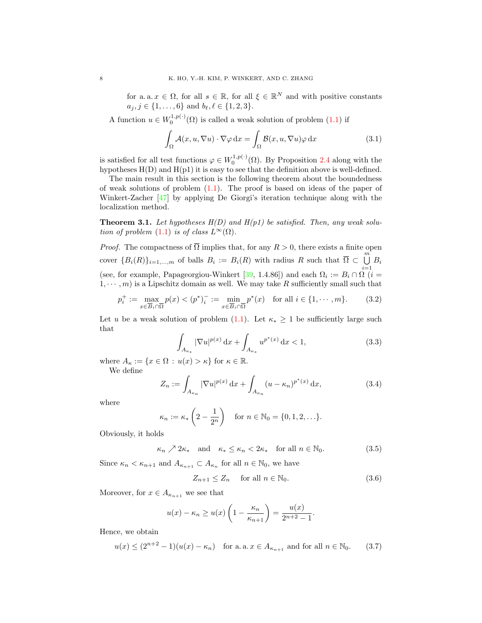for a. a.  $x \in \Omega$ , for all  $s \in \mathbb{R}$ , for all  $\xi \in \mathbb{R}^N$  and with positive constants  $a_j, j \in \{1, \ldots, 6\}$  and  $b_\ell, \ell \in \{1, 2, 3\}.$ 

A function  $u \in W_0^{1,p(\cdot)}(\Omega)$  is called a weak solution of problem  $(1.1)$  if

<span id="page-7-6"></span>
$$
\int_{\Omega} \mathcal{A}(x, u, \nabla u) \cdot \nabla \varphi \,dx = \int_{\Omega} \mathcal{B}(x, u, \nabla u) \varphi \,dx \tag{3.1}
$$

is satisfied for all test functions  $\varphi \in W_0^{1,p(\cdot)}(\Omega)$ . By Proposition [2.4](#page-4-0) along with the hypotheses  $H(D)$  and  $H(p1)$  it is easy to see that the definition above is well-defined.

The main result in this section is the following theorem about the boundedness of weak solutions of problem  $(1.1)$ . The proof is based on ideas of the paper of Winkert-Zacher [\[47\]](#page-23-8) by applying De Giorgi's iteration technique along with the localization method.

<span id="page-7-0"></span>**Theorem 3.1.** Let hypotheses  $H(D)$  and  $H(p1)$  be satisfied. Then, any weak solution of problem  $(1.1)$  is of class  $L^{\infty}(\Omega)$ .

*Proof.* The compactness of  $\overline{\Omega}$  implies that, for any  $R > 0$ , there exists a finite open cover  ${B_i(R)}_{i=1,...,m}$  of balls  $B_i := B_i(R)$  with radius R such that  $\overline{\Omega} \subset \bigcup_{i=1}^{m} B_i$ (see, for example, Papageorgiou-Winkert [\[39,](#page-23-23) 1.4.86]) and each  $\Omega_i := B_i \cap \Omega$  (*i* =  $1, \dots, m$  is a Lipschitz domain as well. We may take R sufficiently small such that

$$
p_i^+ := \max_{x \in \overline{B}_i \cap \overline{\Omega}} p(x) < (p^*)_i^- := \min_{x \in \overline{B}_i \cap \overline{\Omega}} p^*(x) \quad \text{for all } i \in \{1, \cdots, m\}. \tag{3.2}
$$

Let u be a weak solution of problem [\(1.1\)](#page-0-0). Let  $\kappa_* \geq 1$  be sufficiently large such that

<span id="page-7-5"></span><span id="page-7-1"></span>
$$
\int_{A_{\kappa_*}} |\nabla u|^{p(x)} \, \mathrm{d}x + \int_{A_{\kappa_*}} u^{p^*(x)} \, \mathrm{d}x < 1,\tag{3.3}
$$

where  $A_{\kappa} := \{x \in \Omega : u(x) > \kappa\}$  for  $\kappa \in \mathbb{R}$ .

We define

<span id="page-7-3"></span>
$$
Z_n := \int_{A_{\kappa_n}} |\nabla u|^{p(x)} \, \mathrm{d}x + \int_{A_{\kappa_n}} (u - \kappa_n)^{p^*(x)} \, \mathrm{d}x,\tag{3.4}
$$

where

$$
\kappa_n := \kappa_* \left( 2 - \frac{1}{2^n} \right) \quad \text{for } n \in \mathbb{N}_0 = \{0, 1, 2, \ldots\}.
$$

Obviously, it holds

<span id="page-7-2"></span>
$$
\kappa_n \nearrow 2\kappa_*
$$
 and  $\kappa_* \le \kappa_n < 2\kappa_*$  for all  $n \in \mathbb{N}_0$ . (3.5)

Since  $\kappa_n < \kappa_{n+1}$  and  $A_{\kappa_{n+1}} \subset A_{\kappa_n}$  for all  $n \in \mathbb{N}_0$ , we have

<span id="page-7-4"></span>
$$
Z_{n+1} \le Z_n \quad \text{ for all } n \in \mathbb{N}_0. \tag{3.6}
$$

Moreover, for  $x \in A_{\kappa_{n+1}}$  we see that

$$
u(x) - \kappa_n \ge u(x) \left( 1 - \frac{\kappa_n}{\kappa_{n+1}} \right) = \frac{u(x)}{2^{n+2} - 1}.
$$

Hence, we obtain

<span id="page-7-7"></span>
$$
u(x) \le (2^{n+2} - 1)(u(x) - \kappa_n)
$$
 for a. a.  $x \in A_{\kappa_{n+1}}$  and for all  $n \in \mathbb{N}_0$ . (3.7)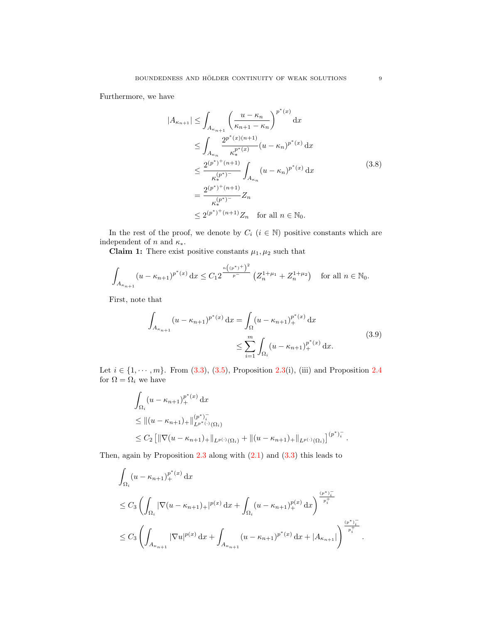Furthermore, we have

<span id="page-8-0"></span>
$$
|A_{\kappa_{n+1}}| \leq \int_{A_{\kappa_{n+1}}} \left(\frac{u - \kappa_n}{\kappa_{n+1} - \kappa_n}\right)^{p^*(x)} dx
$$
  
\n
$$
\leq \int_{A_{\kappa_n}} \frac{2^{p^*(x)(n+1)}}{\kappa_*^{p^*(x)}} (u - \kappa_n)^{p^*(x)} dx
$$
  
\n
$$
\leq \frac{2^{(p^*)^+(n+1)}}{\kappa_*^{(p^*)^-}} \int_{A_{\kappa_n}} (u - \kappa_n)^{p^*(x)} dx
$$
  
\n
$$
= \frac{2^{(p^*)^+(n+1)}}{\kappa_*^{(p^*)^-}} Z_n
$$
  
\n
$$
\leq 2^{(p^*)^+(n+1)} Z_n \quad \text{for all } n \in \mathbb{N}_0.
$$
  
\n(3.8)

In the rest of the proof, we denote by  $C_i$   $(i \in \mathbb{N})$  positive constants which are independent of  $n$  and  $\kappa_*$ .

**Claim 1:** There exist positive constants  $\mu_1, \mu_2$  such that

$$
\int_{A_{\kappa_{n+1}}} (u - \kappa_{n+1})^{p^*(x)} dx \le C_1 2^{\frac{n((p^*)^+)^2}{p^-}} \left(Z_n^{1+\mu_1} + Z_n^{1+\mu_2}\right) \quad \text{for all } n \in \mathbb{N}_0.
$$

First, note that

<span id="page-8-1"></span>
$$
\int_{A_{\kappa_{n+1}}} (u - \kappa_{n+1})^{p^*(x)} dx = \int_{\Omega} (u - \kappa_{n+1})_+^{p^*(x)} dx
$$
\n
$$
\leq \sum_{i=1}^m \int_{\Omega_i} (u - \kappa_{n+1})_+^{p^*(x)} dx.
$$
\n(3.9)

Let  $i \in \{1, \dots, m\}$ . From [\(3.3\)](#page-7-1), [\(3.5\)](#page-7-2), Proposition [2.3\(](#page-3-0)i), (iii) and Proposition [2.4](#page-4-0) for  $\Omega = \Omega_i$  we have

$$
\int_{\Omega_i} (u - \kappa_{n+1})_+^{p^*(x)} dx
$$
\n
$$
\leq ||(u - \kappa_{n+1})_+||_{L^{p^*(\cdot)}(\Omega_i)}^{(p^*)_i^-}
$$
\n
$$
\leq C_2 \left[ ||\nabla(u - \kappa_{n+1})_+||_{L^{p(\cdot)}(\Omega_i)} + ||(u - \kappa_{n+1})_+||_{L^{p(\cdot)}(\Omega_i)} \right]^{(p^*)_i^-}.
$$

Then, again by Proposition  $2.3$  along with  $(2.1)$  and  $(3.3)$  this leads to

$$
\int_{\Omega_i} (u - \kappa_{n+1})_+^{p^*(x)} dx
$$
\n
$$
\leq C_3 \left( \int_{\Omega_i} |\nabla (u - \kappa_{n+1})_+|^{p(x)} dx + \int_{\Omega_i} (u - \kappa_{n+1})_+^{p(x)} dx \right)^{\frac{(p^*)_+^-}{p^+_i}}
$$
\n
$$
\leq C_3 \left( \int_{A_{\kappa_{n+1}}} |\nabla u|^{p(x)} dx + \int_{A_{\kappa_{n+1}}} (u - \kappa_{n+1})^{p^*(x)} dx + |A_{\kappa_{n+1}}| \right)^{\frac{(p^*)_+^-}{p^+_i}}.
$$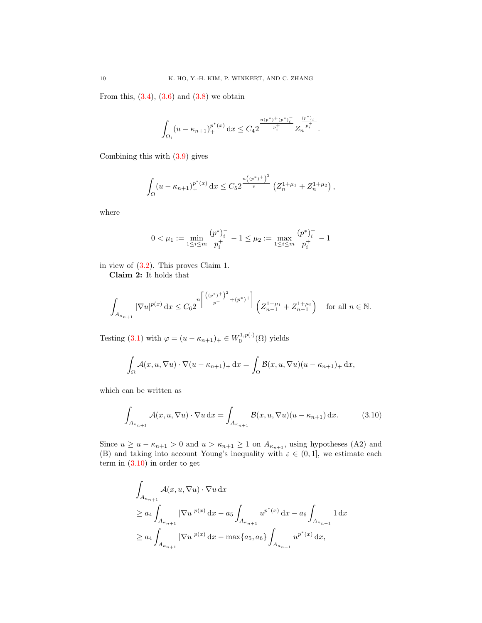From this,  $(3.4)$ ,  $(3.6)$  and  $(3.8)$  we obtain

$$
\int_{\Omega_i} (u-\kappa_{n+1})_+^{p^*(x)} \,\mathrm{d} x \leq C_4 2^{-\frac{n(p^*)^+(p^*)^-_i}{p^+_i}}Z_n^{\frac{(p^*)^-_i}{p^+_i}}.
$$

Combining this with [\(3.9\)](#page-8-1) gives

$$
\int_{\Omega} (u - \kappa_{n+1})_+^{p^*(x)} dx \le C_5 2^{\frac{n((p^*)^+)^2}{p^-}} \left(Z_n^{1+\mu_1} + Z_n^{1+\mu_2}\right),
$$

where

$$
0<\mu_1:=\min_{1\leq i\leq m}\frac{(p^*)_i^-}{p_i^+}-1\leq \mu_2:=\max_{1\leq i\leq m}\frac{(p^*)_i^-}{p_i^+}-1
$$

in view of [\(3.2\)](#page-7-5). This proves Claim 1.

Claim 2: It holds that

$$
\int_{A_{\kappa_{n+1}}} |\nabla u|^{p(x)} dx \le C_6 2^{n\left[\frac{((p^*)^+)^2}{p^-} + (p^*)^+\right]} \left(Z_{n-1}^{1+\mu_1} + Z_{n-1}^{1+\mu_2}\right) \quad \text{for all } n \in \mathbb{N}.
$$

Testing [\(3.1\)](#page-7-6) with  $\varphi = (u - \kappa_{n+1})_+ \in W_0^{1,p(\cdot)}(\Omega)$  yields

$$
\int_{\Omega} \mathcal{A}(x, u, \nabla u) \cdot \nabla (u - \kappa_{n+1})_+ \, dx = \int_{\Omega} \mathcal{B}(x, u, \nabla u) (u - \kappa_{n+1})_+ \, dx,
$$

which can be written as

<span id="page-9-0"></span>
$$
\int_{A_{\kappa_{n+1}}} \mathcal{A}(x, u, \nabla u) \cdot \nabla u \, dx = \int_{A_{\kappa_{n+1}}} \mathcal{B}(x, u, \nabla u)(u - \kappa_{n+1}) \, dx. \tag{3.10}
$$

Since  $u \ge u - \kappa_{n+1} > 0$  and  $u > \kappa_{n+1} \ge 1$  on  $A_{\kappa_{n+1}}$ , using hypotheses (A2) and (B) and taking into account Young's inequality with  $\varepsilon \in (0,1]$ , we estimate each term in  $(3.10)$  in order to get

$$
\int_{A_{\kappa_{n+1}}} \mathcal{A}(x, u, \nabla u) \cdot \nabla u \,dx
$$
\n
$$
\geq a_4 \int_{A_{\kappa_{n+1}}} |\nabla u|^{p(x)} \,dx - a_5 \int_{A_{\kappa_{n+1}}} u^{p^*(x)} \,dx - a_6 \int_{A_{\kappa_{n+1}}} 1 \,dx
$$
\n
$$
\geq a_4 \int_{A_{\kappa_{n+1}}} |\nabla u|^{p(x)} \,dx - \max\{a_5, a_6\} \int_{A_{\kappa_{n+1}}} u^{p^*(x)} \,dx,
$$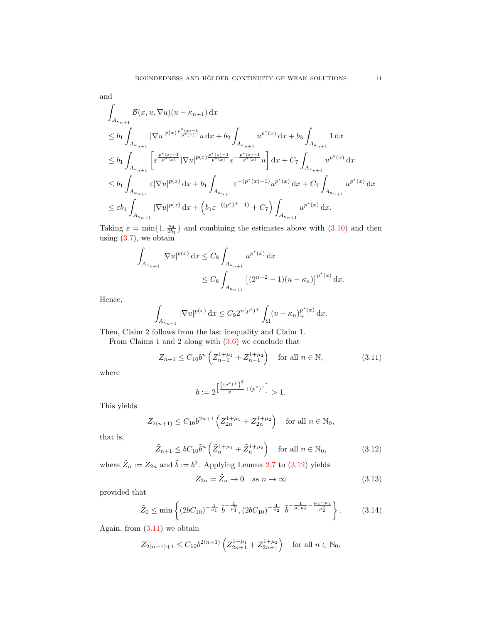and

$$
\begin{aligned} &\int_{A_{\kappa_{n+1}}} \mathcal{B}(x,u,\nabla u)(u-\kappa_{n+1}) \,\mathrm{d}x \\ &\leq b_1 \int_{A_{\kappa_{n+1}}} |\nabla u|^{p(x)\frac{p^*(x)-1}{p^*(x)}} u \,\mathrm{d}x + b_2 \int_{A_{\kappa_{n+1}}} u^{p^*(x)} \,\mathrm{d}x + b_3 \int_{A_{\kappa_{n+1}}} 1 \,\mathrm{d}x \\ &\leq b_1 \int_{A_{\kappa_{n+1}}} \left[ \varepsilon^{\frac{p^*(x)-1}{p^*(x)}} |\nabla u|^{p(x)\frac{p^*(x)-1}{p^*(x)}} \varepsilon^{-\frac{p^*(x)-1}{p^*(x)}} u \right] \mathrm{d}x + C_7 \int_{A_{\kappa_{n+1}}} u^{p^*(x)} \,\mathrm{d}x \\ &\leq b_1 \int_{A_{\kappa_{n+1}}} \varepsilon |\nabla u|^{p(x)} \,\mathrm{d}x + b_1 \int_{A_{\kappa_{n+1}}} \varepsilon^{-(p^*(x)-1)} u^{p^*(x)} \,\mathrm{d}x + C_7 \int_{A_{\kappa_{n+1}}} u^{p^*(x)} \,\mathrm{d}x \\ &\leq \varepsilon b_1 \int_{A_{\kappa_{n+1}}} |\nabla u|^{p(x)} \,\mathrm{d}x + \left( b_1 \varepsilon^{-((p^*)^+-1)} + C_7 \right) \int_{A_{\kappa_{n+1}}} u^{p^*(x)} \,\mathrm{d}x. \end{aligned}
$$

Taking  $\varepsilon = \min\{1, \frac{a_4}{2b_1}\}\$ and combining the estimates above with  $(3.10)$  and then using  $(3.7)$ , we obtain

$$
\int_{A_{\kappa_{n+1}}} |\nabla u|^{p(x)} dx \leq C_8 \int_{A_{\kappa_{n+1}}} u^{p^*(x)} dx
$$
  

$$
\leq C_8 \int_{A_{\kappa_{n+1}}} [(2^{n+2} - 1)(u - \kappa_n)]^{p^*(x)} dx.
$$

Hence,

$$
\int_{A_{\kappa_{n+1}}} |\nabla u|^{p(x)} \, \mathrm{d}x \le C_9 2^{n(p^*)^+} \int_{\Omega} (u - \kappa_n)_+^{p^*(x)} \, \mathrm{d}x.
$$

Then, Claim 2 follows from the last inequality and Claim 1.

From Claims 1 and 2 along with [\(3.6\)](#page-7-4) we conclude that

 $\mathcal{L}$ 

<span id="page-10-1"></span>
$$
Z_{n+1} \le C_{10} b^n \left( Z_{n-1}^{1+\mu_1} + Z_{n-1}^{1+\mu_2} \right) \quad \text{for all } n \in \mathbb{N},\tag{3.11}
$$

where

$$
b := 2^{\left[\frac{((p^*)^+)^2}{p^-} + (p^*)^+\right]} > 1.
$$

This yields

$$
Z_{2(n+1)} \le C_{10} b^{2n+1} \left( Z_{2n}^{1+\mu_1} + Z_{2n}^{1+\mu_2} \right)
$$
 for all  $n \in \mathbb{N}_0$ ,

that is,

<span id="page-10-0"></span>
$$
\tilde{Z}_{n+1} \leq bC_{10}\tilde{b}^n \left(\tilde{Z}_n^{1+\mu_1} + \tilde{Z}_n^{1+\mu_2}\right) \quad \text{for all } n \in \mathbb{N}_0,\tag{3.12}
$$

where  $\tilde{Z}_n := Z_{2n}$  and  $\tilde{b} := b^2$ . Applying Lemma [2.7](#page-6-1) to [\(3.12\)](#page-10-0) yields

<span id="page-10-3"></span>
$$
Z_{2n} = \tilde{Z}_n \to 0 \quad \text{as } n \to \infty \tag{3.13}
$$

provided that

<span id="page-10-2"></span>
$$
\tilde{Z}_0 \le \min\left\{ (2bC_{10})^{-\frac{1}{\mu_1}} \tilde{b}^{-\frac{1}{\mu_1^2}}, (2bC_{10})^{-\frac{1}{\mu_2}} \tilde{b}^{-\frac{1}{\mu_1 \mu_2} - \frac{\mu_2 - \mu_1}{\mu_2^2}} \right\}.
$$
 (3.14)

Again, from  $(3.11)$  we obtain

$$
Z_{2(n+1)+1} \le C_{10} b^{2(n+1)} \left( Z_{2n+1}^{1+\mu_1} + Z_{2n+1}^{1+\mu_2} \right) \quad \text{for all } n \in \mathbb{N}_0,
$$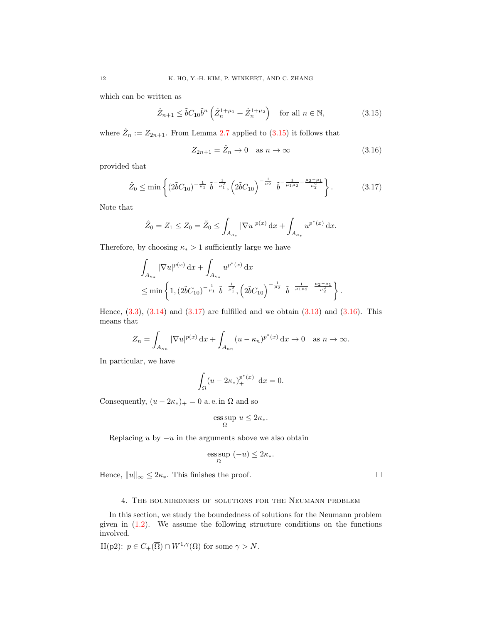which can be written as

<span id="page-11-1"></span>
$$
\hat{Z}_{n+1} \leq \tilde{b}C_{10}\tilde{b}^n \left(\hat{Z}_n^{1+\mu_1} + \hat{Z}_n^{1+\mu_2}\right) \quad \text{for all } n \in \mathbb{N},\tag{3.15}
$$

where  $\hat{Z}_n := Z_{2n+1}$ . From Lemma [2.7](#page-6-1) applied to [\(3.15\)](#page-11-1) it follows that

<span id="page-11-3"></span>
$$
Z_{2n+1} = \hat{Z}_n \to 0 \quad \text{as } n \to \infty \tag{3.16}
$$

provided that

<span id="page-11-2"></span>
$$
\hat{Z}_0 \le \min\left\{ (2\tilde{b}C_{10})^{-\frac{1}{\mu_1}} \tilde{b}^{-\frac{1}{\mu_1}}, \left( 2\tilde{b}C_{10} \right)^{-\frac{1}{\mu_2}} \tilde{b}^{-\frac{1}{\mu_1\mu_2} - \frac{\mu_2 - \mu_1}{\mu_2^2}} \right\}.
$$
\n(3.17)

Note that

$$
\hat{Z}_0 = Z_1 \le Z_0 = \tilde{Z}_0 \le \int_{A_{\kappa_*}} |\nabla u|^{p(x)} \, \mathrm{d}x + \int_{A_{\kappa_*}} u^{p^*(x)} \, \mathrm{d}x.
$$

Therefore, by choosing  $\kappa_* > 1$  sufficiently large we have

$$
\int_{A_{\kappa_*}} |\nabla u|^{p(x)} dx + \int_{A_{\kappa_*}} u^{p^*(x)} dx
$$
\n
$$
\leq \min \left\{ 1, (2\tilde{b}C_{10})^{-\frac{1}{\mu_1}} \tilde{b}^{-\frac{1}{\mu_1^2}}, \left( 2\tilde{b}C_{10} \right)^{-\frac{1}{\mu_2}} \tilde{b}^{-\frac{1}{\mu_1 \mu_2} - \frac{\mu_2 - \mu_1}{\mu_2^2}} \right\}.
$$

Hence,  $(3.3)$ ,  $(3.14)$  and  $(3.17)$  are fulfilled and we obtain  $(3.13)$  and  $(3.16)$ . This means that

$$
Z_n = \int_{A_{\kappa_n}} |\nabla u|^{p(x)} dx + \int_{A_{\kappa_n}} (u - \kappa_n)^{p^*(x)} dx \to 0 \quad \text{as } n \to \infty.
$$

In particular, we have

$$
\int_{\Omega} (u - 2\kappa_*)_+^{p^*(x)} \, \mathrm{d}x = 0.
$$

Consequently,  $(u - 2\kappa_*)_+ = 0$  a.e. in  $\Omega$  and so

$$
\operatorname*{ess\,sup}_\Omega\, u\leq 2\kappa_*.
$$

Replacing u by  $-u$  in the arguments above we also obtain

$$
\operatorname*{ess\,sup}_{\Omega} \ (-u) \leq 2\kappa_*.
$$

Hence,  $||u||_{\infty} \leq 2\kappa_*$ . This finishes the proof.  $\Box$ 

#### 4. The boundedness of solutions for the Neumann problem

<span id="page-11-0"></span>In this section, we study the boundedness of solutions for the Neumann problem given in [\(1.2\)](#page-0-1). We assume the following structure conditions on the functions involved.

H(p2):  $p \in C_+(\overline{\Omega}) \cap W^{1,\gamma}(\Omega)$  for some  $\gamma > N$ .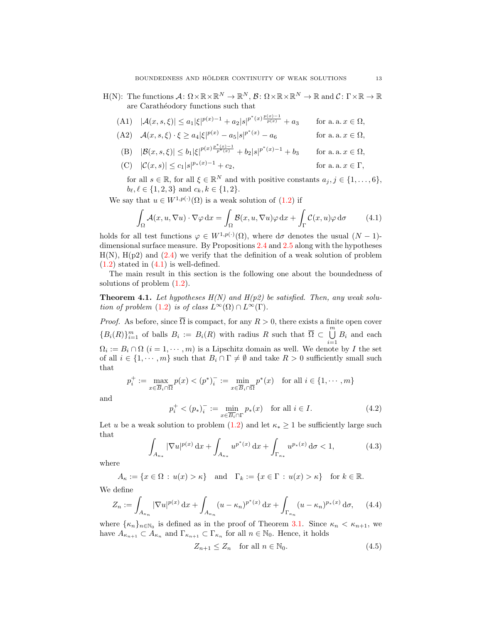$H(N)$ : The functions  $\mathcal{A}: \Omega \times \mathbb{R} \times \mathbb{R}^N \to \mathbb{R}^N, \mathcal{B}: \Omega \times \mathbb{R} \times \mathbb{R}^N \to \mathbb{R}$  and  $\mathcal{C}: \Gamma \times \mathbb{R} \to \mathbb{R}$ are Carathéodory functions such that

(A1) 
$$
|\mathcal{A}(x, s, \xi)| \le a_1 |\xi|^{p(x)-1} + a_2 |s|^{p^*(x)\frac{p(x)-1}{p(x)}} + a_3
$$
 for a. a.  $x \in \Omega$ ,

- (A2)  $\mathcal{A}(x, s, \xi) \cdot \xi \ge a_4 |\xi|^{p(x)} a_5 |s|^{p^*}$ for a. a.  $x \in \Omega$ ,
- (B)  $|\mathcal{B}(x, s, \xi)| \leq b_1 |\xi|^{p(x)\frac{p^*(x)-1}{p^*(x)} } + b_2 |s|^{p^*(x)-1} + b_3$  for a. a.  $x \in \Omega$ ,
- (C)  $|\mathcal{C}(x, s)| \leq c_1 |s|^{p_*(x)-1} + c_2,$ for a. a.  $x \in \Gamma$ ,

for all  $s \in \mathbb{R}$ , for all  $\xi \in \mathbb{R}^N$  and with positive constants  $a_j, j \in \{1, \ldots, 6\}$ ,  $b_{\ell}, \ell \in \{1, 2, 3\}$  and  $c_k, k \in \{1, 2\}.$ 

We say that  $u \in W^{1,p(\cdot)}(\Omega)$  is a weak solution of  $(1.2)$  if

<span id="page-12-1"></span>
$$
\int_{\Omega} \mathcal{A}(x, u, \nabla u) \cdot \nabla \varphi \,dx = \int_{\Omega} \mathcal{B}(x, u, \nabla u) \varphi \,dx + \int_{\Gamma} \mathcal{C}(x, u) \varphi \,d\sigma \qquad (4.1)
$$

holds for all test functions  $\varphi \in W^{1,p(\cdot)}(\Omega)$ , where  $d\sigma$  denotes the usual  $(N-1)$ dimensional surface measure. By Propositions [2.4](#page-4-0) and [2.5](#page-5-2) along with the hypotheses  $H(N)$ ,  $H(p2)$  and  $(2.4)$  we verify that the definition of a weak solution of problem  $(1.2)$  stated in  $(4.1)$  is well-defined.

The main result in this section is the following one about the boundedness of solutions of problem [\(1.2\)](#page-0-1).

<span id="page-12-0"></span>**Theorem 4.1.** Let hypotheses  $H(N)$  and  $H(p2)$  be satisfied. Then, any weak solu-tion of problem [\(1.2\)](#page-0-1) is of class  $L^{\infty}(\Omega) \cap L^{\infty}(\Gamma)$ .

*Proof.* As before, since  $\overline{\Omega}$  is compact, for any  $R > 0$ , there exists a finite open cover  ${B_i(R)}_{i=1}^m$  of balls  $B_i := B_i(R)$  with radius R such that  $\overline{\Omega} \subset \bigcup^m B_i$  and each  $\Omega_i := B_i \cap \Omega$   $(i = 1, \dots, m)$  is a Lipschitz domain as well. We denote by I the set of all  $i \in \{1, \dots, m\}$  such that  $B_i \cap \Gamma \neq \emptyset$  and take  $R > 0$  sufficiently small such that

$$
p_i^+ := \max_{x \in \overline{B}_i \cap \overline{\Omega}} p(x) < (p^*)_i^- := \min_{x \in \overline{B}_i \cap \overline{\Omega}} p^*(x) \quad \text{for all } i \in \{1, \cdots, m\}
$$

and

<span id="page-12-5"></span>
$$
p_i^+ < (p_*)_i^- := \min_{x \in \overline{B_i} \cap \Gamma} p_*(x) \quad \text{for all } i \in I.
$$
 (4.2)

Let u be a weak solution to problem [\(1.2\)](#page-0-1) and let  $\kappa_* \geq 1$  be sufficiently large such that

<span id="page-12-2"></span>
$$
\int_{A_{\kappa_*}} |\nabla u|^{p(x)} \, \mathrm{d}x + \int_{A_{\kappa_*}} u^{p^*(x)} \, \mathrm{d}x + \int_{\Gamma_{\kappa_*}} u^{p_*(x)} \, \mathrm{d}\sigma < 1,\tag{4.3}
$$

where

$$
A_{\kappa} := \{ x \in \Omega : u(x) > \kappa \} \text{ and } \Gamma_k := \{ x \in \Gamma : u(x) > \kappa \} \text{ for } k \in \mathbb{R}.
$$

We define

<span id="page-12-3"></span>
$$
Z_n := \int_{A_{\kappa_n}} |\nabla u|^{p(x)} \, \mathrm{d}x + \int_{A_{\kappa_n}} (u - \kappa_n)^{p^*(x)} \, \mathrm{d}x + \int_{\Gamma_{\kappa_n}} (u - \kappa_n)^{p^*(x)} \, \mathrm{d}\sigma,\qquad(4.4)
$$

where  $\{\kappa_n\}_{n\in\mathbb{N}_0}$  is defined as in the proof of Theorem [3.1.](#page-7-0) Since  $\kappa_n < \kappa_{n+1}$ , we have  $A_{\kappa_{n+1}} \subset A_{\kappa_n}$  and  $\Gamma_{\kappa_{n+1}} \subset \Gamma_{\kappa_n}$  for all  $n \in \mathbb{N}_0$ . Hence, it holds

<span id="page-12-4"></span>
$$
Z_{n+1} \le Z_n \quad \text{for all } n \in \mathbb{N}_0. \tag{4.5}
$$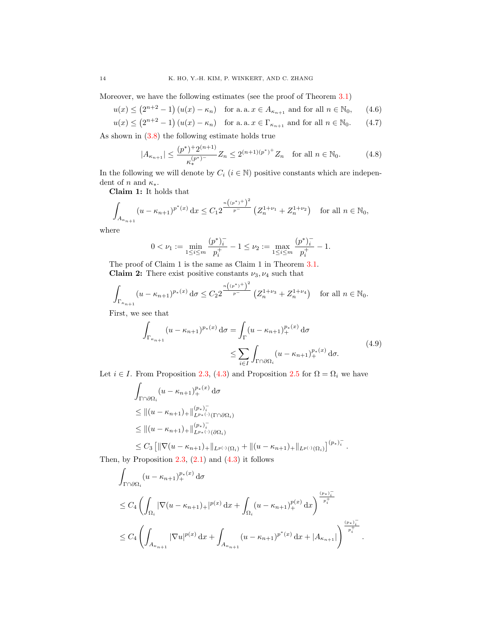Moreover, we have the following estimates (see the proof of Theorem [3.1\)](#page-7-0)

$$
u(x) \le (2^{n+2} - 1) (u(x) - \kappa_n) \quad \text{for a. a. } x \in A_{\kappa_{n+1}} \text{ and for all } n \in \mathbb{N}_0,\qquad(4.6)
$$

$$
u(x) \le (2^{n+2} - 1) (u(x) - \kappa_n) \quad \text{for a. a. } x \in \Gamma_{\kappa_{n+1}} \text{ and for all } n \in \mathbb{N}_0. \tag{4.7}
$$

As shown in [\(3.8\)](#page-8-0) the following estimate holds true

<span id="page-13-3"></span><span id="page-13-2"></span><span id="page-13-0"></span>
$$
|A_{\kappa_{n+1}}| \le \frac{(p^*)^+ 2^{(n+1)}}{\kappa_*^{(p^*)^-}} Z_n \le 2^{(n+1)(p^*)^+} Z_n \quad \text{for all } n \in \mathbb{N}_0. \tag{4.8}
$$

In the following we will denote by  $C_i$   $(i \in \mathbb{N})$  positive constants which are independent of n and  $\kappa_*$ .

Claim 1: It holds that

$$
\int_{A_{\kappa_{n+1}}}(u-\kappa_{n+1})^{p^*(x)} dx \leq C_1 2^{\frac{n((p^*)^+)^2}{p^-}} \left(Z_n^{1+\nu_1}+Z_n^{1+\nu_2}\right) \quad \text{for all } n \in \mathbb{N}_0,
$$

where

$$
0 < \nu_1 := \min_{1 \leq i \leq m} \frac{(p^*)_i^-}{p_i^+} - 1 \leq \nu_2 := \max_{1 \leq i \leq m} \frac{(p^*)_i^-}{p_i^+} - 1.
$$

The proof of Claim 1 is the same as Claim 1 in Theorem [3.1.](#page-7-0) Claim 2: There exist positive constants  $\nu_3, \nu_4$  such that

$$
\int_{\Gamma_{\kappa_{n+1}}} (u - \kappa_{n+1})^{p_*(x)} d\sigma \le C_2 2^{\frac{n((p^*)^+)^2}{p^-}} \left(Z_n^{1+\nu_3} + Z_n^{1+\nu_4}\right) \quad \text{for all } n \in \mathbb{N}_0.
$$

First, we see that

$$
\int_{\Gamma_{\kappa_{n+1}}} (u - \kappa_{n+1})^{p_*(x)} d\sigma = \int_{\Gamma} (u - \kappa_{n+1})_+^{p_*(x)} d\sigma
$$
\n
$$
\leq \sum_{i \in I} \int_{\Gamma \cap \partial \Omega_i} (u - \kappa_{n+1})_+^{p_*(x)} d\sigma. \tag{4.9}
$$

Let  $i \in I$ . From Proposition [2.3,](#page-3-0) [\(4.3\)](#page-12-2) and Proposition [2.5](#page-5-2) for  $\Omega = \Omega_i$  we have

$$
\int_{\Gamma \cap \partial \Omega_i} (u - \kappa_{n+1})_+^{p_*(x)} d\sigma
$$
\n
$$
\leq ||(u - \kappa_{n+1})_+||_{L^{p_*(\cdot)}(\Gamma \cap \partial \Omega_i)}^{(p_*)^-_\iota}
$$
\n
$$
\leq ||(u - \kappa_{n+1})_+||_{L^{p_*(\cdot)}(\partial \Omega_i)}^{(p_*)^-_\iota}
$$
\n
$$
\leq C_3 \left[ ||\nabla (u - \kappa_{n+1})_+||_{L^{p(\cdot)}(\Omega_i)} + ||(u - \kappa_{n+1})_+||_{L^{p(\cdot)}(\Omega_i)} \right]^{(p_*)^-_\iota}.
$$

Then, by Proposition  $2.3$ ,  $(2.1)$  and  $(4.3)$  it follows

$$
\int_{\Gamma \cap \partial \Omega_i} (u - \kappa_{n+1})_+^{p_*(x)} d\sigma
$$
\n
$$
\leq C_4 \left( \int_{\Omega_i} |\nabla (u - \kappa_{n+1})_+|^{p(x)} dx + \int_{\Omega_i} (u - \kappa_{n+1})_+^{p(x)} dx \right)^{\frac{(p_*)_+^{-}}{p_i^+}}
$$
\n
$$
\leq C_4 \left( \int_{A_{\kappa_{n+1}}} |\nabla u|^{p(x)} dx + \int_{A_{\kappa_{n+1}}} (u - \kappa_{n+1})^{p^*(x)} dx + |A_{\kappa_{n+1}}| \right)^{\frac{(p_*)_+^{-}}{p_i^+}}
$$

<span id="page-13-1"></span>.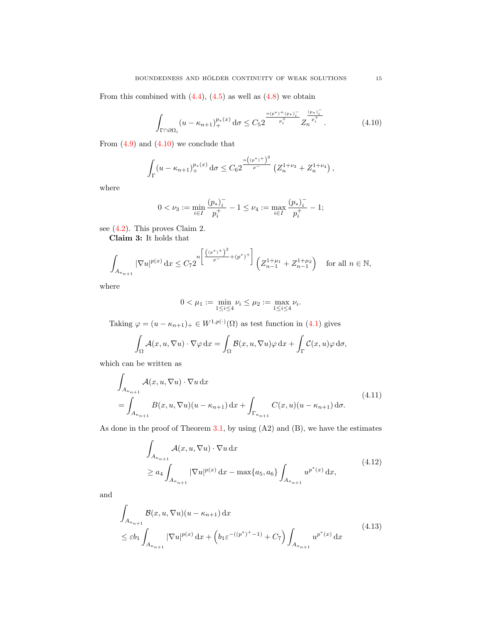From this combined with  $(4.4)$ ,  $(4.5)$  as well as  $(4.8)$  we obtain

<span id="page-14-0"></span>
$$
\int_{\Gamma \cap \partial \Omega_i} (u - \kappa_{n+1})_+^{p_*(x)} \, \mathrm{d}\sigma \le C_5 2^{\frac{n(p^*)^+(p_*)_i^-}{p_i^+}} Z_n^{\frac{(p_*)_i^-}{p_i^+}}.
$$
\n(4.10)

From  $(4.9)$  and  $(4.10)$  we conclude that

$$
\int_{\Gamma} (u - \kappa_{n+1})_+^{p_*(x)} \, \mathrm{d}\sigma \leq C_6 2 \frac{\binom{n(n^*)+1}{n}}{1-p} \left( Z_n^{1+\nu_3} + Z_n^{1+\nu_4} \right),
$$

where

$$
0 < \nu_3 := \min_{i \in I} \frac{(p_*)_i^-}{p_i^+} - 1 \le \nu_4 := \max_{i \in I} \frac{(p_*)_i^-}{p_i^+} - 1;
$$

see [\(4.2\)](#page-12-5). This proves Claim 2.

Claim 3: It holds that

$$
\int_{A_{\kappa_{n+1}}} |\nabla u|^{p(x)} dx \le C_7 2^{-n \left[ \frac{((p^*)^+)^2}{p^-} + (p^*)^+ \right]} \left( Z_{n-1}^{1+\mu_1} + Z_{n-1}^{1+\mu_2} \right) \quad \text{for all } n \in \mathbb{N},
$$

where

<span id="page-14-1"></span>
$$
0 < \mu_1 := \min_{1 \le i \le 4} \nu_i \le \mu_2 := \max_{1 \le i \le 4} \nu_i.
$$

Taking  $\varphi = (u - \kappa_{n+1})_+ \in W^{1,p(\cdot)}(\Omega)$  as test function in  $(4.1)$  gives

$$
\int_{\Omega} \mathcal{A}(x, u, \nabla u) \cdot \nabla \varphi \,dx = \int_{\Omega} \mathcal{B}(x, u, \nabla u) \varphi \,dx + \int_{\Gamma} \mathcal{C}(x, u) \varphi \,d\sigma,
$$

which can be written as

$$
\int_{A_{\kappa_{n+1}}} \mathcal{A}(x, u, \nabla u) \cdot \nabla u \,dx
$$
\n
$$
= \int_{A_{\kappa_{n+1}}} B(x, u, \nabla u)(u - \kappa_{n+1}) \,dx + \int_{\Gamma_{\kappa_{n+1}}} C(x, u)(u - \kappa_{n+1}) \,d\sigma.
$$
\n(4.11)

As done in the proof of Theorem  $3.1$ , by using  $(A2)$  and  $(B)$ , we have the estimates

<span id="page-14-3"></span><span id="page-14-2"></span>
$$
\int_{A_{\kappa_{n+1}}} \mathcal{A}(x, u, \nabla u) \cdot \nabla u \, dx
$$
\n
$$
\ge a_4 \int_{A_{\kappa_{n+1}}} |\nabla u|^{p(x)} \, dx - \max\{a_5, a_6\} \int_{A_{\kappa_{n+1}}} u^{p^*(x)} \, dx,
$$
\n(4.12)

and

$$
\int_{A_{\kappa_{n+1}}} \mathcal{B}(x, u, \nabla u)(u - \kappa_{n+1}) \, dx
$$
\n
$$
\leq \varepsilon b_1 \int_{A_{\kappa_{n+1}}} |\nabla u|^{p(x)} \, dx + \left( b_1 \varepsilon^{-(p^*)^+ - 1)} + C_7 \right) \int_{A_{\kappa_{n+1}}} u^{p^*(x)} \, dx \tag{4.13}
$$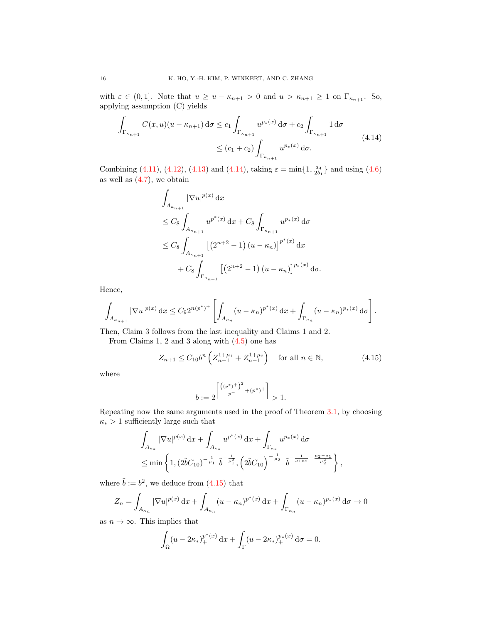with  $\varepsilon \in (0,1]$ . Note that  $u \ge u - \kappa_{n+1} > 0$  and  $u > \kappa_{n+1} \ge 1$  on  $\Gamma_{\kappa_{n+1}}$ . So, applying assumption (C) yields

$$
\int_{\Gamma_{\kappa_{n+1}}} C(x, u)(u - \kappa_{n+1}) d\sigma \le c_1 \int_{\Gamma_{\kappa_{n+1}}} u^{p_*(x)} d\sigma + c_2 \int_{\Gamma_{\kappa_{n+1}}} 1 d\sigma
$$
\n
$$
\le (c_1 + c_2) \int_{\Gamma_{\kappa_{n+1}}} u^{p_*(x)} d\sigma. \tag{4.14}
$$

Combining [\(4.11\)](#page-14-1), [\(4.12\)](#page-14-2), [\(4.13\)](#page-14-3) and [\(4.14\)](#page-15-0), taking  $\varepsilon = \min\{1, \frac{a_4}{2b_1}\}\$  and using [\(4.6\)](#page-13-2) as well as [\(4.7\)](#page-13-3), we obtain

<span id="page-15-0"></span>
$$
\int_{A_{\kappa_{n+1}}} |\nabla u|^{p(x)} dx
$$
\n
$$
\leq C_8 \int_{A_{\kappa_{n+1}}} u^{p^*(x)} dx + C_8 \int_{\Gamma_{\kappa_{n+1}}} u^{p^*(x)} d\sigma
$$
\n
$$
\leq C_8 \int_{A_{\kappa_{n+1}}} \left[ \left( 2^{n+2} - 1 \right) (u - \kappa_n) \right]^{p^*(x)} dx
$$
\n
$$
+ C_8 \int_{\Gamma_{\kappa_{n+1}}} \left[ \left( 2^{n+2} - 1 \right) (u - \kappa_n) \right]^{p^*(x)} d\sigma.
$$

Hence,

$$
\int_{A_{\kappa_{n+1}}} |\nabla u|^{p(x)} \, \mathrm{d}x \leq C_9 2^{n(p^*)^+} \left[ \int_{A_{\kappa_n}} (u - \kappa_n)^{p^*(x)} \, \mathrm{d}x + \int_{\Gamma_{\kappa_n}} (u - \kappa_n)^{p^*(x)} \, \mathrm{d}\sigma \right].
$$

Then, Claim 3 follows from the last inequality and Claims 1 and 2.

From Claims 1, 2 and 3 along with [\(4.5\)](#page-12-4) one has

<span id="page-15-1"></span>
$$
Z_{n+1} \le C_{10} b^n \left( Z_{n-1}^{1+\mu_1} + Z_{n-1}^{1+\mu_2} \right) \quad \text{for all } n \in \mathbb{N},\tag{4.15}
$$

where

$$
b := 2^{\left[\frac{((p^*)^+)^2}{p^-} + (p^*)^+\right]} > 1.
$$

Repeating now the same arguments used in the proof of Theorem [3.1,](#page-7-0) by choosing  $\kappa_*>1$  sufficiently large such that

$$
\int_{A_{\kappa_*}} |\nabla u|^{p(x)} \, dx + \int_{A_{\kappa_*}} u^{p^*(x)} \, dx + \int_{\Gamma_{\kappa_*}} u^{p_*(x)} \, d\sigma
$$
\n
$$
\leq \min \left\{ 1, (2\tilde{b}C_{10})^{-\frac{1}{\mu_1}} \tilde{b}^{-\frac{1}{\mu_1^2}}, \left( 2\tilde{b}C_{10} \right)^{-\frac{1}{\mu_2}} \tilde{b}^{-\frac{1}{\mu_1 \mu_2} - \frac{\mu_2 - \mu_1}{\mu_2^2}} \right\},
$$

where  $\tilde{b} := b^2$ , we deduce from [\(4.15\)](#page-15-1) that

$$
Z_n = \int_{A_{\kappa_n}} |\nabla u|^{p(x)} \, \mathrm{d}x + \int_{A_{\kappa_n}} (u - \kappa_n)^{p^*(x)} \, \mathrm{d}x + \int_{\Gamma_{\kappa_n}} (u - \kappa_n)^{p^*(x)} \, \mathrm{d}\sigma \to 0
$$

as  $n \to \infty$ . This implies that

$$
\int_{\Omega} (u - 2\kappa_*)_+^{p^*(x)} dx + \int_{\Gamma} (u - 2\kappa_*)_+^{p^*(x)} d\sigma = 0.
$$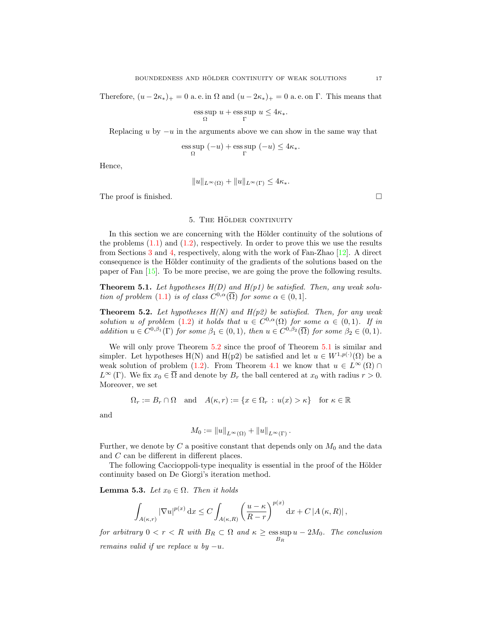Therefore,  $(u - 2\kappa_*)_+ = 0$  a. e. in  $\Omega$  and  $(u - 2\kappa_*)_+ = 0$  a. e. on  $\Gamma$ . This means that

$$
\underset{\Omega}{\operatorname{ess\,sup}}\; u + \underset{\Gamma}{\operatorname{ess\,sup}}\; u \leq 4\kappa_*.
$$

Replacing u by  $-u$  in the arguments above we can show in the same way that

$$
\operatorname*{\mathrm{ess\,sup}}\limits_{\Omega}(-u)+\operatorname*{\mathrm{ess\,sup}}\limits_{\Gamma}(-u)\leq 4\kappa_*.
$$

Hence,

$$
||u||_{L^{\infty}(\Omega)} + ||u||_{L^{\infty}(\Gamma)} \leq 4\kappa_*.
$$

The proof is finished.  $\Box$ 

#### 5. THE HÖLDER CONTINUITY

<span id="page-16-0"></span>In this section we are concerning with the Hölder continuity of the solutions of the problems  $(1.1)$  and  $(1.2)$ , respectively. In order to prove this we use the results from Sections [3](#page-6-0) and [4,](#page-11-0) respectively, along with the work of Fan-Zhao [\[12\]](#page-22-10). A direct consequence is the Hölder continuity of the gradients of the solutions based on the paper of Fan [\[15\]](#page-22-4). To be more precise, we are going the prove the following results.

<span id="page-16-2"></span>**Theorem 5.1.** Let hypotheses  $H(D)$  and  $H(p1)$  be satisfied. Then, any weak solu-tion of problem [\(1.1\)](#page-0-0) is of class  $C^{0,\alpha}(\overline{\Omega})$  for some  $\alpha \in (0,1]$ .

<span id="page-16-1"></span>**Theorem 5.2.** Let hypotheses  $H(N)$  and  $H(p2)$  be satisfied. Then, for any weak solution u of problem [\(1.2\)](#page-0-1) it holds that  $u \in C^{0,\alpha}(\Omega)$  for some  $\alpha \in (0,1)$ . If in addition  $u \in C^{0,\beta_1}(\Gamma)$  for some  $\beta_1 \in (0,1)$ , then  $u \in C^{0,\beta_2}(\overline{\Omega})$  for some  $\beta_2 \in (0,1)$ .

We will only prove Theorem  $5.2$  since the proof of Theorem  $5.1$  is similar and simpler. Let hypotheses H(N) and H(p2) be satisfied and let  $u \in W^{1,p(\cdot)}(\Omega)$  be a weak solution of problem [\(1.2\)](#page-0-1). From Theorem [4.1](#page-12-0) we know that  $u \in L^{\infty}(\Omega) \cap$  $L^{\infty}(\Gamma)$ . We fix  $x_0 \in \overline{\Omega}$  and denote by  $B_r$  the ball centered at  $x_0$  with radius  $r > 0$ . Moreover, we set

$$
\Omega_r := B_r \cap \Omega \quad \text{and} \quad A(\kappa, r) := \{ x \in \Omega_r \, : \, u(x) > \kappa \} \quad \text{for } \kappa \in \mathbb{R}
$$

and

$$
M_0 := \|u\|_{L^{\infty}(\Omega)} + \|u\|_{L^{\infty}(\Gamma)}.
$$

Further, we denote by  $C$  a positive constant that depends only on  $M_0$  and the data and C can be different in different places.

The following Caccioppoli-type inequality is essential in the proof of the Hölder continuity based on De Giorgi's iteration method.

<span id="page-16-3"></span>**Lemma 5.3.** Let  $x_0 \in \Omega$ . Then it holds

$$
\int_{A(\kappa,r)} |\nabla u|^{p(x)} dx \le C \int_{A(\kappa,R)} \left(\frac{u-\kappa}{R-r}\right)^{p(x)} dx + C |A(\kappa,R)|,
$$

for arbitrary  $0 < r < R$  with  $B_R \subset \Omega$  and  $\kappa \geq \operatorname{ess} \sup u - 2M_0$ . The conclusion  $B_R$ remains valid if we replace u by  $-u$ .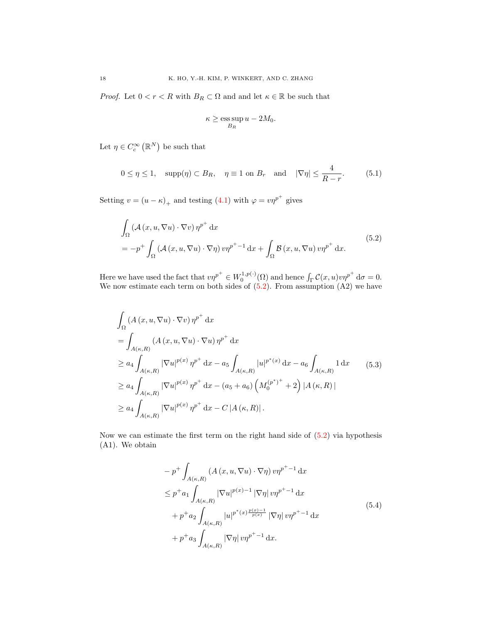*Proof.* Let  $0 < r < R$  with  $B_R \subset \Omega$  and and let  $\kappa \in \mathbb{R}$  be such that

<span id="page-17-3"></span><span id="page-17-0"></span>
$$
\kappa \ge \operatorname*{ess\,sup}_{B_R} u - 2M_0.
$$

Let  $\eta \in C_c^{\infty}(\mathbb{R}^N)$  be such that

$$
0 \le \eta \le 1, \quad \text{supp}(\eta) \subset B_R, \quad \eta \equiv 1 \text{ on } B_r \quad \text{and} \quad |\nabla \eta| \le \frac{4}{R-r}.\tag{5.1}
$$

Setting  $v = (u - \kappa)_+$  and testing [\(4.1\)](#page-12-1) with  $\varphi = v\eta^{p^+}$  gives

$$
\int_{\Omega} \left( \mathcal{A}(x, u, \nabla u) \cdot \nabla v \right) \eta^{p^+} dx
$$
\n
$$
= -p^+ \int_{\Omega} \left( \mathcal{A}(x, u, \nabla u) \cdot \nabla \eta \right) v \eta^{p^+ - 1} dx + \int_{\Omega} \mathcal{B}(x, u, \nabla u) v \eta^{p^+} dx.
$$
\n(5.2)

Here we have used the fact that  $v\eta^{p^+} \in W_0^{1,p(\cdot)}(\Omega)$  and hence  $\int_{\Gamma} C(x, u)v\eta^{p^+} d\sigma = 0$ . We now estimate each term on both sides of  $(5.2)$ . From assumption  $(A2)$  we have

$$
\int_{\Omega} (A(x, u, \nabla u) \cdot \nabla v) \eta^{p^{+}} dx
$$
\n
$$
= \int_{A(\kappa, R)} (A(x, u, \nabla u) \cdot \nabla u) \eta^{p^{+}} dx
$$
\n
$$
\ge a_{4} \int_{A(\kappa, R)} |\nabla u|^{p(x)} \eta^{p^{+}} dx - a_{5} \int_{A(\kappa, R)} |u|^{p^{*}(x)} dx - a_{6} \int_{A(\kappa, R)} 1 dx
$$
\n
$$
\ge a_{4} \int_{A(\kappa, R)} |\nabla u|^{p(x)} \eta^{p^{+}} dx - (a_{5} + a_{6}) \left( M_{0}^{(p^{*})^{+}} + 2 \right) |A(\kappa, R)|
$$
\n
$$
\ge a_{4} \int_{A(\kappa, R)} |\nabla u|^{p(x)} \eta^{p^{+}} dx - C |A(\kappa, R)|.
$$
\n(6.11)

Now we can estimate the first term on the right hand side of  $(5.2)$  via hypothesis (A1). We obtain

<span id="page-17-2"></span><span id="page-17-1"></span>
$$
- p^{+} \int_{A(\kappa,R)} (A(x, u, \nabla u) \cdot \nabla \eta) v \eta^{p^{+}-1} dx
$$
  
\n
$$
\leq p^{+} a_{1} \int_{A(\kappa,R)} |\nabla u|^{p(x)-1} |\nabla \eta| v \eta^{p^{+}-1} dx
$$
  
\n
$$
+ p^{+} a_{2} \int_{A(\kappa,R)} |u|^{p^{*}(x) \frac{p(x)-1}{p(x)}} |\nabla \eta| v \eta^{p^{+}-1} dx
$$
  
\n
$$
+ p^{+} a_{3} \int_{A(\kappa,R)} |\nabla \eta| v \eta^{p^{+}-1} dx.
$$
\n(5.4)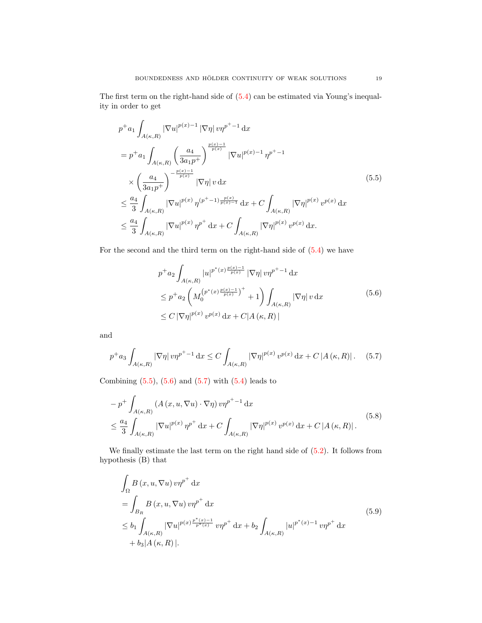The first term on the right-hand side of [\(5.4\)](#page-17-1) can be estimated via Young's inequality in order to get

$$
p^{+}a_{1} \int_{A(\kappa,R)} |\nabla u|^{p(x)-1} |\nabla \eta| v \eta^{p^{+}-1} dx
$$
  
\n
$$
= p^{+}a_{1} \int_{A(\kappa,R)} \left(\frac{a_{4}}{3a_{1}p^{+}}\right)^{\frac{p(x)-1}{p(x)}} |\nabla u|^{p(x)-1} \eta^{p^{+}-1}
$$
  
\n
$$
\times \left(\frac{a_{4}}{3a_{1}p^{+}}\right)^{-\frac{p(x)-1}{p(x)}} |\nabla \eta| v dx
$$
  
\n
$$
\leq \frac{a_{4}}{3} \int_{A(\kappa,R)} |\nabla u|^{p(x)} \eta^{(p^{+}-1)\frac{p(x)}{p(x)-1}} dx + C \int_{A(\kappa,R)} |\nabla \eta|^{p(x)} v^{p(x)} dx
$$
  
\n
$$
\leq \frac{a_{4}}{3} \int_{A(\kappa,R)} |\nabla u|^{p(x)} \eta^{p^{+}} dx + C \int_{A(\kappa,R)} |\nabla \eta|^{p(x)} v^{p(x)} dx.
$$
\n(5.5)

For the second and the third term on the right-hand side of [\(5.4\)](#page-17-1) we have

<span id="page-18-2"></span><span id="page-18-1"></span><span id="page-18-0"></span>
$$
p^{+}a_{2} \int_{A(\kappa,R)} |u|^{p^{*}(x) \frac{p(x)-1}{p(x)}} |\nabla \eta| v \eta^{p^{+}-1} dx
$$
  
\n
$$
\leq p^{+}a_{2} \left( M_{0}^{(p^{*}(x) \frac{p(x)-1}{p(x)})^{+}} + 1 \right) \int_{A(\kappa,R)} |\nabla \eta| v dx
$$
\n
$$
\leq C |\nabla \eta|^{p(x)} v^{p(x)} dx + C |A(\kappa,R)|
$$
\n(5.6)

and

$$
p^{+}a_{3}\int_{A(\kappa,R)}|\nabla\eta|\,v\eta^{p^{+}-1}\,\mathrm{d}x \leq C\int_{A(\kappa,R)}|\nabla\eta|^{p(x)}\,v^{p(x)}\,\mathrm{d}x + C\,|A(\kappa,R)|\,. \tag{5.7}
$$

Combining  $(5.5)$ ,  $(5.6)$  and  $(5.7)$  with  $(5.4)$  leads to

$$
- p^{+} \int_{A(\kappa,R)} \left( A(x, u, \nabla u) \cdot \nabla \eta \right) v \eta^{p^{+}-1} dx
$$
  

$$
\leq \frac{a_{4}}{3} \int_{A(\kappa,R)} \left| \nabla u \right|^{p(x)} \eta^{p^{+}} dx + C \int_{A(\kappa,R)} \left| \nabla \eta \right|^{p(x)} v^{p(x)} dx + C \left| A(\kappa,R) \right|.
$$
 (5.8)

We finally estimate the last term on the right hand side of  $(5.2)$ . It follows from hypothesis (B) that

<span id="page-18-4"></span><span id="page-18-3"></span>
$$
\int_{\Omega} B(x, u, \nabla u) v \eta^{p^{+}} dx
$$
\n
$$
= \int_{B_{R}} B(x, u, \nabla u) v \eta^{p^{+}} dx
$$
\n
$$
\leq b_{1} \int_{A(\kappa, R)} |\nabla u|^{p(x) \frac{p^{*}(x) - 1}{p^{*}(x)}} v \eta^{p^{+}} dx + b_{2} \int_{A(\kappa, R)} |u|^{p^{*}(x) - 1} v \eta^{p^{+}} dx
$$
\n
$$
+ b_{3} |A(\kappa, R)|.
$$
\n(5.9)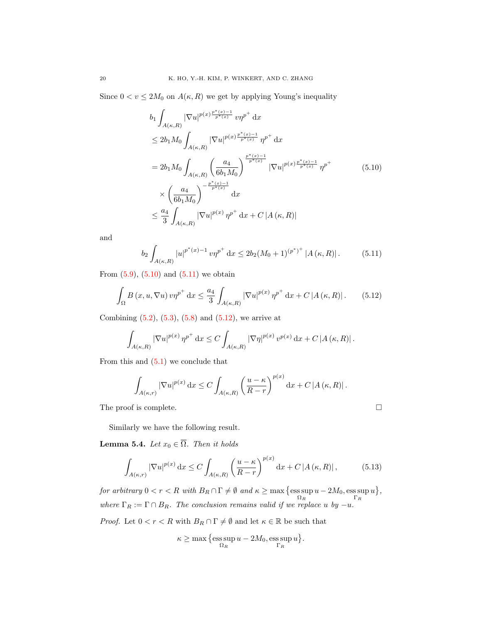Since  $0 < v \le 2M_0$  on  $A(\kappa, R)$  we get by applying Young's inequality

<span id="page-19-0"></span>
$$
b_{1} \int_{A(\kappa,R)} |\nabla u|^{p(x)\frac{p^{*}(x)-1}{p^{*}(x)}} v\eta^{p^{+}} dx
$$
  
\n
$$
\leq 2b_{1}M_{0} \int_{A(\kappa,R)} |\nabla u|^{p(x)\frac{p^{*}(x)-1}{p^{*}(x)}} \eta^{p^{+}} dx
$$
  
\n
$$
= 2b_{1}M_{0} \int_{A(\kappa,R)} \left(\frac{a_{4}}{6b_{1}M_{0}}\right)^{\frac{p^{*}(x)-1}{p^{*}(x)}} |\nabla u|^{p(x)\frac{p^{*}(x)-1}{p^{*}(x)}} \eta^{p^{+}}
$$
  
\n
$$
\times \left(\frac{a_{4}}{6b_{1}M_{0}}\right)^{-\frac{p^{*}(x)-1}{p^{*}(x)}} dx
$$
  
\n
$$
\leq \frac{a_{4}}{3} \int_{A(\kappa,R)} |\nabla u|^{p(x)} \eta^{p^{+}} dx + C |A(\kappa,R)|
$$

and

<span id="page-19-1"></span>
$$
b_2 \int_{A(\kappa,R)} |u|^{p^*(x)-1} \, v \eta^{p^+} \, \mathrm{d}x \le 2b_2(M_0+1)^{(p^*)^+} |A(\kappa,R)|. \tag{5.11}
$$

From  $(5.9)$ ,  $(5.10)$  and  $(5.11)$  we obtain

<span id="page-19-2"></span>
$$
\int_{\Omega} B(x, u, \nabla u) v \eta^{p^+} dx \le \frac{a_4}{3} \int_{A(\kappa, R)} |\nabla u|^{p(x)} \eta^{p^+} dx + C |A(\kappa, R)|. \tag{5.12}
$$

Combining  $(5.2)$ ,  $(5.3)$ ,  $(5.8)$  and  $(5.12)$ , we arrive at

$$
\int_{A(\kappa,R)} |\nabla u|^{p(x)} \,\eta^{p^+} \,dx \le C \int_{A(\kappa,R)} |\nabla \eta|^{p(x)} \,v^{p(x)} \,dx + C\left|A(\kappa,R)\right|.
$$

From this and  $(5.1)$  we conclude that

$$
\int_{A(\kappa,r)} \left|\nabla u\right|^{p(x)} \mathrm{d}x \le C \int_{A(\kappa,R)} \left(\frac{u-\kappa}{R-r}\right)^{p(x)} \mathrm{d}x + C \left|A(\kappa,R)\right|.
$$

The proof is complete.  $\Box$ 

Similarly we have the following result.

<span id="page-19-4"></span>**Lemma 5.4.** Let  $x_0 \in \overline{\Omega}$ . Then it holds

$$
\int_{A(\kappa,r)} |\nabla u|^{p(x)} dx \le C \int_{A(\kappa,R)} \left(\frac{u-\kappa}{R-r}\right)^{p(x)} dx + C |A(\kappa,R)|, \tag{5.13}
$$

for arbitrary  $0 < r < R$  with  $B_R \cap \Gamma \neq \emptyset$  and  $\kappa \geq \max \{ \text{ess sup} \}$  $\sup_{\Omega_R} u - 2M_0$ , ess sup  $u\}$ , where  $\Gamma_R := \Gamma \cap B_R$ . The conclusion remains valid if we replace u by  $-u$ .

*Proof.* Let  $0 < r < R$  with  $B_R \cap \Gamma \neq \emptyset$  and let  $\kappa \in \mathbb{R}$  be such that

<span id="page-19-3"></span>
$$
\kappa \ge \max\Big\{\operatorname*{ess\,sup}_{\Omega_R} u - 2M_0, \operatorname*{ess\,sup}_{\Gamma_R} u\Big\}.
$$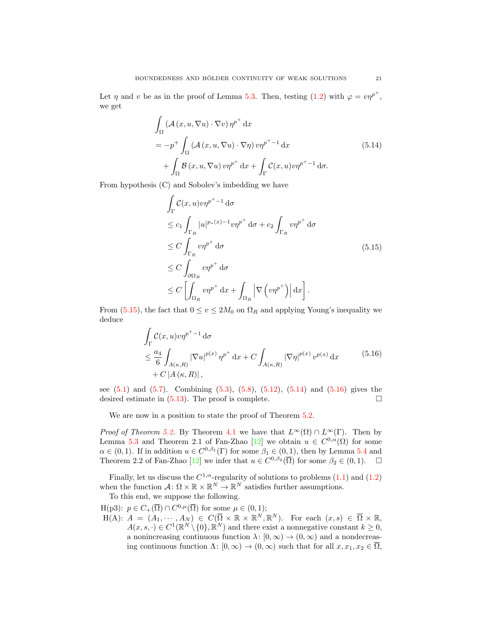Let  $\eta$  and v be as in the proof of Lemma [5.3.](#page-16-3) Then, testing [\(1.2\)](#page-0-1) with  $\varphi = v\eta^{p^+}$ , we get

$$
\int_{\Omega} \left( \mathcal{A}(x, u, \nabla u) \cdot \nabla v \right) \eta^{p^+} dx
$$
\n
$$
= -p^+ \int_{\Omega} \left( \mathcal{A}(x, u, \nabla u) \cdot \nabla \eta \right) v \eta^{p^+ - 1} dx
$$
\n
$$
+ \int_{\Omega} \mathcal{B}(x, u, \nabla u) v \eta^{p^+} dx + \int_{\Gamma} \mathcal{C}(x, u) v \eta^{p^+ - 1} d\sigma.
$$
\n(5.14)

From hypothesis (C) and Sobolev's imbedding we have

<span id="page-20-1"></span><span id="page-20-0"></span>
$$
\int_{\Gamma} C(x, u) v \eta^{p^{+}-1} d\sigma
$$
\n
$$
\leq c_{1} \int_{\Gamma_{R}} |u|^{p_{*}(x)-1} v \eta^{p^{+}} d\sigma + c_{2} \int_{\Gamma_{R}} v \eta^{p^{+}} d\sigma
$$
\n
$$
\leq C \int_{\Gamma_{R}} v \eta^{p^{+}} d\sigma
$$
\n
$$
\leq C \int_{\partial \Omega_{R}} v \eta^{p^{+}} d\sigma
$$
\n
$$
\leq C \left[ \int_{\Omega_{R}} v \eta^{p^{+}} d\sigma + \int_{\Omega_{R}} \left| \nabla \left( v \eta^{p^{+}} \right) \right| d\sigma \right].
$$
\n(5.15)

From [\(5.15\)](#page-20-0), the fact that  $0 \le v \le 2M_0$  on  $\Omega_R$  and applying Young's inequality we deduce

<span id="page-20-2"></span>
$$
\int_{\Gamma} C(x, u) v \eta^{p^{+}-1} d\sigma
$$
\n
$$
\leq \frac{a_{4}}{6} \int_{A(\kappa, R)} |\nabla u|^{p(x)} \eta^{p^{+}} dx + C \int_{A(\kappa, R)} |\nabla \eta|^{p(x)} v^{p(x)} dx \qquad (5.16)
$$
\n
$$
+ C |A(\kappa, R)|,
$$

see  $(5.1)$  and  $(5.7)$ . Combining  $(5.3)$ ,  $(5.8)$ ,  $(5.12)$ ,  $(5.14)$  and  $(5.16)$  gives the desired estimate in  $(5.13)$ . The proof is complete.

We are now in a position to state the proof of Theorem  $5.2$ .

*Proof of Theorem [5.2.](#page-16-1)* By Theorem [4.1](#page-12-0) we have that  $L^{\infty}(\Omega) \cap L^{\infty}(\Gamma)$ . Then by Lemma [5.3](#page-16-3) and Theorem 2.1 of Fan-Zhao [\[12\]](#page-22-10) we obtain  $u \in C^{0,\alpha}(\Omega)$  for some  $\alpha \in (0,1)$ . If in addition  $u \in C^{0,\beta_1}(\Gamma)$  for some  $\beta_1 \in (0,1)$ , then by Lemma [5.4](#page-19-4) and Theorem 2.2 of Fan-Zhao [\[12\]](#page-22-10) we infer that  $u \in C^{0,\beta_2}(\overline{\Omega})$  for some  $\beta_2 \in (0,1)$ .  $\Box$ 

Finally, let us discuss the  $C^{1,\alpha}$ -regularity of solutions to problems  $(1.1)$  and  $(1.2)$ when the function  $\mathcal{A}: \Omega \times \mathbb{R} \times \mathbb{R}^N \to \mathbb{R}^N$  satisfies further assumptions.

To this end, we suppose the following.

 $H(p3): p \in C_+(\overline{\Omega}) \cap C^{0,\mu}(\overline{\Omega})$  for some  $\mu \in (0,1);$ 

 $H(A): A = (A_1, \cdots, A_N) \in C(\overline{\Omega} \times \mathbb{R} \times \mathbb{R}^N, \mathbb{R}^N)$ . For each  $(x, s) \in \overline{\Omega} \times \mathbb{R}$ ,  $A(x, s, \cdot) \in C^1(\mathbb{R}^N \setminus \{0\}, \mathbb{R}^N)$  and there exist a nonnegative constant  $k \geq 0$ , a nonincreasing continuous function  $\lambda: [0, \infty) \to (0, \infty)$  and a nondecreasing continuous function  $\Lambda: [0, \infty) \to (0, \infty)$  such that for all  $x, x_1, x_2 \in \overline{\Omega}$ ,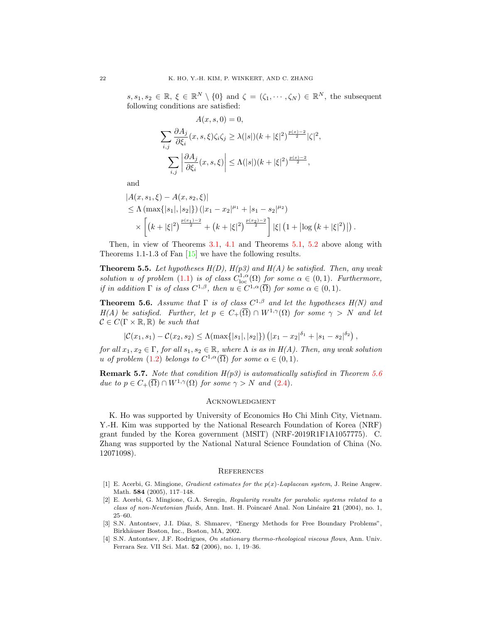$s, s_1, s_2 \in \mathbb{R}, \xi \in \mathbb{R}^N \setminus \{0\}$  and  $\zeta = (\zeta_1, \dots, \zeta_N) \in \mathbb{R}^N$ , the subsequent following conditions are satisfied:

$$
A(x, s, 0) = 0,
$$
  

$$
\sum_{i,j} \frac{\partial A_j}{\partial \xi_i}(x, s, \xi) \zeta_i \zeta_j \ge \lambda(|s|)(k + |\xi|^2)^{\frac{p(x) - 2}{2}} |\zeta|^2,
$$
  

$$
\sum_{i,j} \left| \frac{\partial A_j}{\partial \xi_i}(x, s, \xi) \right| \le \Lambda(|s|)(k + |\xi|^2)^{\frac{p(x) - 2}{2}},
$$

and

$$
|A(x, s_1, \xi) - A(x, s_2, \xi)|
$$
  
\n
$$
\leq \Lambda \left( \max\{|s_1|, |s_2|\} \right) (|x_1 - x_2|^{\mu_1} + |s_1 - s_2|^{\mu_2})
$$
  
\n
$$
\times \left[ \left( k + |\xi|^2 \right)^{\frac{p(x_1) - 2}{2}} + \left( k + |\xi|^2 \right)^{\frac{p(x_2) - 2}{2}} \right] |\xi| \left( 1 + \left| \log \left( k + |\xi|^2 \right) \right| \right).
$$

Then, in view of Theorems [3.1,](#page-7-0) [4.1](#page-12-0) and Theorems [5.1,](#page-16-2) [5.2](#page-16-1) above along with Theorems 1.1-1.3 of Fan [\[15\]](#page-22-4) we have the following results.

<span id="page-21-4"></span>**Theorem 5.5.** Let hypotheses  $H(D)$ ,  $H(p3)$  and  $H(A)$  be satisfied. Then, any weak solution u of problem [\(1.1\)](#page-0-0) is of class  $C^{1,\alpha}_{\text{loc}}(\Omega)$  for some  $\alpha \in (0,1)$ . Furthermore, if in addition  $\Gamma$  is of class  $C^{1,\beta}$ , then  $u \in C^{1,\alpha}(\overline{\Omega})$  for some  $\alpha \in (0,1)$ .

<span id="page-21-5"></span>**Theorem 5.6.** Assume that  $\Gamma$  is of class  $C^{1,\beta}$  and let the hypotheses  $H(N)$  and H(A) be satisfied. Further, let  $p \in C_+(\overline{\Omega}) \cap W^{1,\gamma}(\Omega)$  for some  $\gamma > N$  and let  $\mathcal{C} \in C(\Gamma \times \mathbb{R}, \mathbb{R})$  be such that

$$
|\mathcal{C}(x_1,s_1) - \mathcal{C}(x_2,s_2) \le \Lambda(\max\{|s_1|,|s_2|\}) \left(|x_1 - x_2|^{\delta_1} + |s_1 - s_2|^{\delta_2}\right)
$$

,

for all  $x_1, x_2 \in \Gamma$ , for all  $s_1, s_2 \in \mathbb{R}$ , where  $\Lambda$  is as in  $H(A)$ . Then, any weak solution u of problem [\(1.2\)](#page-0-1) belongs to  $C^{1,\alpha}(\overline{\Omega})$  for some  $\alpha \in (0,1)$ .

**Remark 5.7.** Note that condition  $H(p3)$  is automatically satisfied in Theorem [5.6](#page-21-5) due to  $p \in C_+(\overline{\Omega}) \cap W^{1,\gamma}(\Omega)$  for some  $\gamma > N$  and [\(2.4\)](#page-5-3).

#### **ACKNOWLEDGMENT**

K. Ho was supported by University of Economics Ho Chi Minh City, Vietnam. Y.-H. Kim was supported by the National Research Foundation of Korea (NRF) grant funded by the Korea government (MSIT) (NRF-2019R1F1A1057775). C. Zhang was supported by the National Natural Science Foundation of China (No. 12071098).

## **REFERENCES**

- <span id="page-21-3"></span>[1] E. Acerbi, G. Mingione, *Gradient estimates for the*  $p(x)$ *-Laplacean system*, J. Reine Angew. Math. 584 (2005), 117–148.
- <span id="page-21-0"></span>[2] E. Acerbi, G. Mingione, G.A. Seregin, Regularity results for parabolic systems related to a class of non-Newtonian fluids, Ann. Inst. H. Poincaré Anal. Non Linéaire 21 (2004), no. 1, 25–60.
- <span id="page-21-1"></span>[3] S.N. Antontsev, J.I. Díaz, S. Shmarev, "Energy Methods for Free Boundary Problems", Birkhäuser Boston, Inc., Boston, MA, 2002.
- <span id="page-21-2"></span>[4] S.N. Antontsev, J.F. Rodrigues, On stationary thermo-rheological viscous flows, Ann. Univ. Ferrara Sez. VII Sci. Mat. 52 (2006), no. 1, 19–36.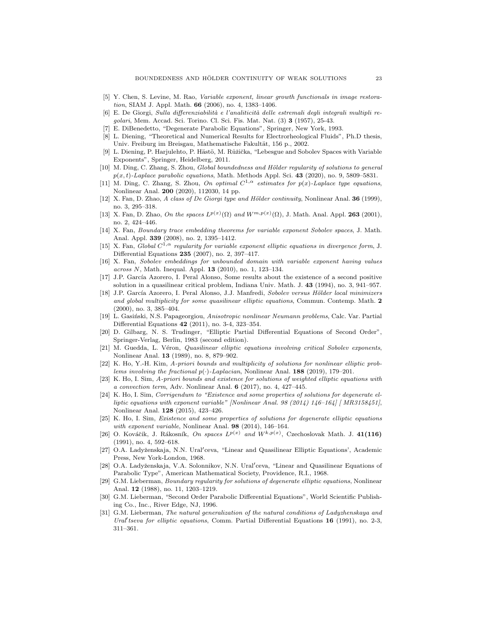- <span id="page-22-0"></span>[5] Y. Chen, S. Levine, M. Rao, Variable exponent, linear growth functionals in image restoration, SIAM J. Appl. Math. 66 (2006), no. 4, 1383–1406.
- <span id="page-22-5"></span>[6] E. De Giorgi, Sulla differenziabilità e l'analiticità delle estremali degli integrali multipli regolari, Mem. Accad. Sci. Torino. Cl. Sci. Fis. Mat. Nat. (3) 3 (1957), 25-43.
- <span id="page-22-26"></span>[7] E. DiBenedetto, "Degenerate Parabolic Equations", Springer, New York, 1993.
- <span id="page-22-1"></span>[8] L. Diening, "Theoretical and Numerical Results for Electrorheological Fluids", Ph.D thesis, Univ. Freiburg im Breisgau, Mathematische Fakultät, 156 p., 2002.
- <span id="page-22-23"></span>[9] L. Diening, P. Harjulehto, P. Hästö, M. Růžička, "Lebesgue and Sobolev Spaces with Variable Exponents", Springer, Heidelberg, 2011.
- <span id="page-22-17"></span>[10] M. Ding, C. Zhang, S. Zhou, Global boundedness and Hölder regularity of solutions to general  $p(x, t)$ -Laplace parabolic equations, Math. Methods Appl. Sci. 43 (2020), no. 9, 5809–5831.
- <span id="page-22-18"></span>[11] M. Ding, C. Zhang, S. Zhou, On optimal  $C^{1,\alpha}$  estimates for  $p(x)$ -Laplace type equations, Nonlinear Anal. 200 (2020), 112030, 14 pp.
- <span id="page-22-10"></span>[12] X. Fan, D. Zhao, A class of De Giorgi type and Hölder continuity, Nonlinear Anal. 36 (1999), no. 3, 295–318.
- <span id="page-22-21"></span>[13] X. Fan, D. Zhao, On the spaces  $L^{p(x)}(\Omega)$  and  $W^{m,p(x)}(\Omega)$ , J. Math. Anal. Appl. 263 (2001), no. 2, 424–446.
- <span id="page-22-25"></span>[14] X. Fan, Boundary trace embedding theorems for variable exponent Sobolev spaces, J. Math. Anal. Appl. 339 (2008), no. 2, 1395–1412.
- <span id="page-22-4"></span>[15] X. Fan, Global  $C^{1,\alpha}$  regularity for variable exponent elliptic equations in divergence form, J. Differential Equations 235 (2007), no. 2, 397–417.
- <span id="page-22-24"></span>[16] X. Fan, Sobolev embeddings for unbounded domain with variable exponent having values across N, Math. Inequal. Appl. 13 (2010), no. 1, 123-134.
- <span id="page-22-19"></span>[17] J.P. García Azorero, I. Peral Alonso, Some results about the existence of a second positive solution in a quasilinear critical problem, Indiana Univ. Math. J. 43 (1994), no. 3, 941–957.
- <span id="page-22-11"></span>[18] J.P. García Azorero, I. Peral Alonso, J.J. Manfredi, Sobolev versus Hölder local minimizers and global multiplicity for some quasilinear elliptic equations, Commun. Contemp. Math. 2 (2000), no. 3, 385–404.
- <span id="page-22-12"></span>[19] L. Gasiński, N.S. Papageorgiou, Anisotropic nonlinear Neumann problems, Calc. Var. Partial Differential Equations 42 (2011), no. 3-4, 323–354.
- <span id="page-22-6"></span>[20] D. Gilbarg, N. S. Trudinger, "Elliptic Partial Differential Equations of Second Order", Springer-Verlag, Berlin, 1983 (second edition).
- <span id="page-22-20"></span>[21] M. Guedda, L. Véron, Quasilinear elliptic equations involving critical Sobolev exponents, Nonlinear Anal. 13 (1989), no. 8, 879–902.
- <span id="page-22-16"></span>[22] K. Ho, Y.-H. Kim, A-priori bounds and multiplicity of solutions for nonlinear elliptic problems involving the fractional  $p(\cdot)$ -Laplacian, Nonlinear Anal. 188 (2019), 179–201.
- <span id="page-22-15"></span>[23] K. Ho, I. Sim, A-priori bounds and existence for solutions of weighted elliptic equations with a convection term, Adv. Nonlinear Anal. 6 (2017), no. 4, 427–445.
- <span id="page-22-14"></span>[24] K. Ho, I. Sim, Corrigendum to "Existence and some properties of solutions for degenerate elliptic equations with exponent variable" [Nonlinear Anal. 98  $(2014)$  146-164] [MR3158451], Nonlinear Anal. 128 (2015), 423–426.
- <span id="page-22-13"></span>[25] K. Ho, I. Sim, Existence and some properties of solutions for degenerate elliptic equations with exponent variable, Nonlinear Anal. 98 (2014), 146–164.
- <span id="page-22-22"></span>[26] O. Kováčik, J. Rákosník, On spaces  $L^{p(x)}$  and  $W^{k,p(x)}$ , Czechoslovak Math. J. 41(116) (1991), no. 4, 592–618.
- <span id="page-22-7"></span>[27] O.A. Ladyženskaja, N.N. Ural'ceva, "Linear and Quasilinear Elliptic Equations', Academic Press, New York-London, 1968.
- <span id="page-22-8"></span>[28] O.A. Ladyženskaja, V.A. Solonnikov, N.N. Ural'ceva, "Linear and Quasilinear Equations of Parabolic Type", American Mathematical Society, Providence, R.I., 1968.
- <span id="page-22-2"></span>[29] G.M. Lieberman, Boundary regularity for solutions of degenerate elliptic equations, Nonlinear Anal. 12 (1988), no. 11, 1203–1219.
- <span id="page-22-9"></span>[30] G.M. Lieberman, "Second Order Parabolic Differential Equations", World Scientific Publishing Co., Inc., River Edge, NJ, 1996.
- <span id="page-22-3"></span>[31] G.M. Lieberman, The natural generalization of the natural conditions of Ladyzhenskaya and Ural' tseva for elliptic equations, Comm. Partial Differential Equations 16 (1991), no. 2-3, 311–361.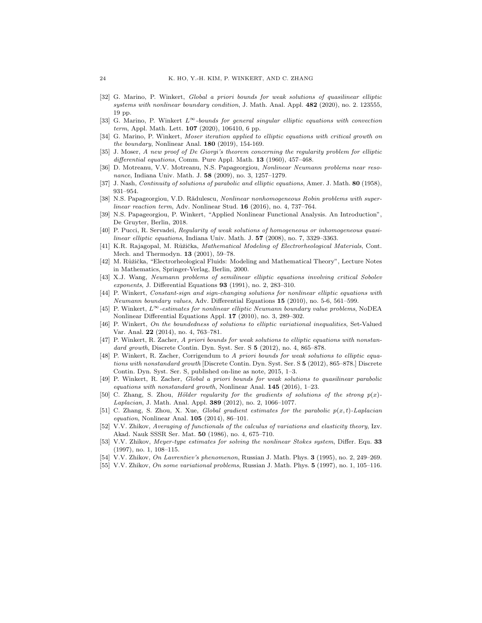- <span id="page-23-14"></span>[32] G. Marino, P. Winkert, Global a priori bounds for weak solutions of quasilinear elliptic systems with nonlinear boundary condition, J. Math. Anal. Appl. 482 (2020), no. 2. 123555, 19 pp.
- <span id="page-23-15"></span>[33] G. Marino, P. Winkert  $L^{\infty}$ -bounds for general singular elliptic equations with convection term, Appl. Math. Lett.  $107$  (2020), 106410, 6 pp.
- <span id="page-23-13"></span>[34] G. Marino, P. Winkert, Moser iteration applied to elliptic equations with critical growth on the boundary, Nonlinear Anal.  $180$  (2019), 154-169.
- <span id="page-23-7"></span>[35] J. Moser, A new proof of De Giorgi's theorem concerning the regularity problem for elliptic differential equations, Comm. Pure Appl. Math. 13 (1960), 457-468.
- <span id="page-23-10"></span>[36] D. Motreanu, V.V. Motreanu, N.S. Papageorgiou, Nonlinear Neumann problems near resonance, Indiana Univ. Math. J. 58 (2009), no. 3, 1257–1279.
- <span id="page-23-6"></span>[37] J. Nash, Continuity of solutions of parabolic and elliptic equations, Amer. J. Math. 80 (1958), 931–954.
- <span id="page-23-12"></span>[38] N.S. Papageorgiou, V.D. Rădulescu, Nonlinear nonhomogeneous Robin problems with superlinear reaction term, Adv. Nonlinear Stud. 16 (2016), no. 4, 737-764.
- <span id="page-23-23"></span>[39] N.S. Papageorgiou, P. Winkert, "Applied Nonlinear Functional Analysis. An Introduction", De Gruyter, Berlin, 2018.
- <span id="page-23-16"></span>[40] P. Pucci, R. Servadei, Regularity of weak solutions of homogeneous or inhomogeneous quasilinear elliptic equations, Indiana Univ. Math. J. 57 (2008), no. 7, 3329-3363.
- <span id="page-23-0"></span>[41] K.R. Rajagopal, M. Růžička, Mathematical Modeling of Electrorheological Materials, Cont. Mech. and Thermodyn. 13 (2001), 59–78.
- <span id="page-23-1"></span>[42] M. Růžička, "Electrorheological Fluids: Modeling and Mathematical Theory", Lecture Notes in Mathematics, Springer-Verlag, Berlin, 2000.
- <span id="page-23-17"></span>[43] X.J. Wang, Neumann problems of semilinear elliptic equations involving critical Sobolev exponents, J. Differential Equations 93 (1991), no. 2, 283–310.
- <span id="page-23-18"></span>[44] P. Winkert, Constant-sign and sign-changing solutions for nonlinear elliptic equations with Neumann boundary values, Adv. Differential Equations 15 (2010), no. 5-6, 561–599.
- <span id="page-23-11"></span>[45] P. Winkert,  $L^{\infty}$ -estimates for nonlinear elliptic Neumann boundary value problems, NoDEA Nonlinear Differential Equations Appl. 17 (2010), no. 3, 289–302.
- <span id="page-23-19"></span>[46] P. Winkert, On the boundedness of solutions to elliptic variational inequalities, Set-Valued Var. Anal. 22 (2014), no. 4, 763-781.
- <span id="page-23-8"></span>[47] P. Winkert, R. Zacher, A priori bounds for weak solutions to elliptic equations with nonstandard growth, Discrete Contin. Dyn. Syst. Ser. S 5 (2012), no. 4, 865–878.
- <span id="page-23-9"></span>[48] P. Winkert, R. Zacher, Corrigendum to A priori bounds for weak solutions to elliptic equations with nonstandard growth [Discrete Contin. Dyn. Syst. Ser. S 5 (2012), 865–878.] Discrete Contin. Dyn. Syst. Ser. S, published on-line as note, 2015, 1–3.
- <span id="page-23-20"></span>[49] P. Winkert, R. Zacher, Global a priori bounds for weak solutions to quasilinear parabolic equations with nonstandard growth, Nonlinear Anal. 145 (2016), 1–23.
- <span id="page-23-21"></span>[50] C. Zhang, S. Zhou, Hölder regularity for the gradients of solutions of the strong  $p(x)$ -Laplacian, J. Math. Anal. Appl. 389 (2012), no. 2, 1066–1077.
- <span id="page-23-22"></span>[51] C. Zhang, S. Zhou, X. Xue, Global gradient estimates for the parabolic  $p(x, t)$ -Laplacian equation, Nonlinear Anal. **105** (2014), 86-101.
- <span id="page-23-4"></span>[52] V.V. Zhikov, Averaging of functionals of the calculus of variations and elasticity theory, Izv. Akad. Nauk SSSR Ser. Mat. 50 (1986), no. 4, 675–710.
- <span id="page-23-2"></span>[53] V.V. Zhikov, Meyer-type estimates for solving the nonlinear Stokes system, Differ. Equ. 33 (1997), no. 1, 108–115.
- <span id="page-23-5"></span>[54] V.V. Zhikov, On Lavrentiev's phenomenon, Russian J. Math. Phys. **3** (1995), no. 2, 249–269.
- <span id="page-23-3"></span>[55] V.V. Zhikov, On some variational problems, Russian J. Math. Phys. 5 (1997), no. 1, 105–116.